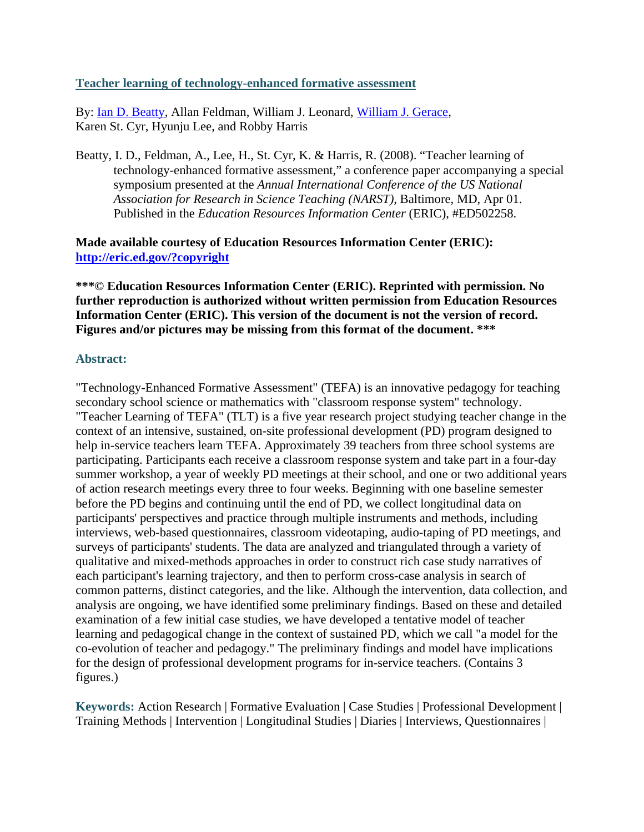#### **Teacher learning of technology-enhanced formative assessment**

By: Ian D. Beatty, Allan Feldman, William J. Leonard, William J. Gerace, Karen St. Cyr, Hyunju Lee, and Robby Harris

Beatty, I. D., Feldman, A., Lee, H., St. Cyr, K. & Harris, R. (2008). "Teacher learning of technology-enhanced formative assessment," a conference paper accompanying a special symposium presented at the *Annual International Conference of the US National Association for Research in Science Teaching (NARST),* Baltimore, MD, Apr 01. Published in the *Education Resources Information Center* (ERIC), #ED502258.

**Made available courtesy of Education Resources Information Center (ERIC): http://eric.ed.gov/?copyright**

**\*\*\*© Education Resources Information Center (ERIC). Reprinted with permission. No further reproduction is authorized without written permission from Education Resources Information Center (ERIC). This version of the document is not the version of record. Figures and/or pictures may be missing from this format of the document. \*\*\*** 

#### **Abstract:**

"Technology-Enhanced Formative Assessment" (TEFA) is an innovative pedagogy for teaching secondary school science or mathematics with "classroom response system" technology. "Teacher Learning of TEFA" (TLT) is a five year research project studying teacher change in the context of an intensive, sustained, on-site professional development (PD) program designed to help in-service teachers learn TEFA. Approximately 39 teachers from three school systems are participating. Participants each receive a classroom response system and take part in a four-day summer workshop, a year of weekly PD meetings at their school, and one or two additional years of action research meetings every three to four weeks. Beginning with one baseline semester before the PD begins and continuing until the end of PD, we collect longitudinal data on participants' perspectives and practice through multiple instruments and methods, including interviews, web-based questionnaires, classroom videotaping, audio-taping of PD meetings, and surveys of participants' students. The data are analyzed and triangulated through a variety of qualitative and mixed-methods approaches in order to construct rich case study narratives of each participant's learning trajectory, and then to perform cross-case analysis in search of common patterns, distinct categories, and the like. Although the intervention, data collection, and analysis are ongoing, we have identified some preliminary findings. Based on these and detailed examination of a few initial case studies, we have developed a tentative model of teacher learning and pedagogical change in the context of sustained PD, which we call "a model for the co-evolution of teacher and pedagogy." The preliminary findings and model have implications for the design of professional development programs for in-service teachers. (Contains 3 figures.)

**Keywords:** Action Research | Formative Evaluation | Case Studies | Professional Development | Training Methods | Intervention | Longitudinal Studies | Diaries | Interviews, Questionnaires |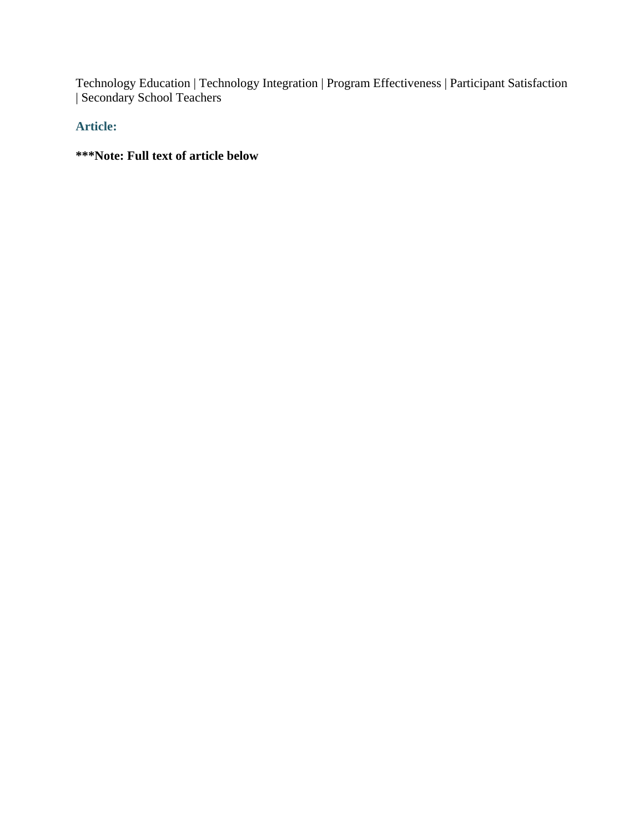Technology Education | Technology Integration | Program Effectiveness | Participant Satisfaction | Secondary School Teachers

**Article:** 

**\*\*\*Note: Full text of article below**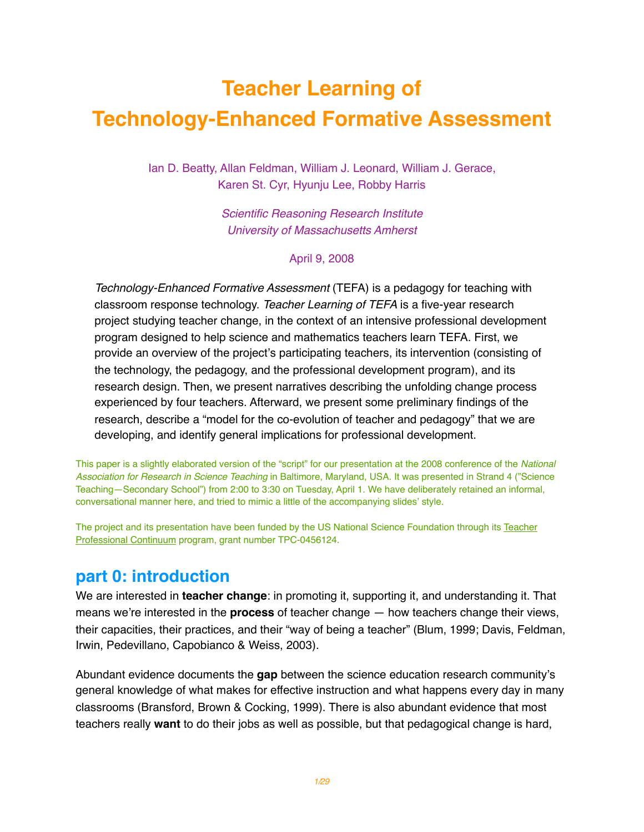# **Teacher Learning of Technology-Enhanced Formative Assessment**

Ian D. Beatty, Allan Feldman, William J. Leonard, William J. Gerace, Karen St. Cyr, Hyunju Lee, Robby Harris

> *Scientific Reasoning Research Institute University of Massachusetts Amherst*

> > April 9, 2008

*Technology-Enhanced Formative Assessment* (TEFA) is a pedagogy for teaching with classroom response technology. *Teacher Learning of TEFA* is a five-year research project studying teacher change, in the context of an intensive professional development program designed to help science and mathematics teachers learn TEFA. First, we provide an overview of the project's participating teachers, its intervention (consisting of the technology, the pedagogy, and the professional development program), and its research design. Then, we present narratives describing the unfolding change process experienced by four teachers. Afterward, we present some preliminary findings of the research, describe a "model for the co-evolution of teacher and pedagogy" that we are developing, and identify general implications for professional development.

This paper is a slightly elaborated version of the "script" for our presentation at the 2008 conference of the *National Association for Research in Science Teaching* in Baltimore, Maryland, USA. It was presented in Strand 4 ("Science Teaching—Secondary School") from 2:00 to 3:30 on Tuesday, April 1. We have deliberately retained an informal, conversational manner here, and tried to mimic a little of the accompanying slides' style.

The project and its presentation have been funded by the US National Science Foundation through its Teacher Professional Continuum program, grant number TPC-0456124.

# **part 0: introduction**

We are interested in **teacher change**: in promoting it, supporting it, and understanding it. That means we're interested in the **process** of teacher change — how teachers change their views, their capacities, their practices, and their "way of being a teacher" (Blum, 1999; Davis, Feldman, Irwin, Pedevillano, Capobianco & Weiss, 2003).

Abundant evidence documents the **gap** between the science education research community's general knowledge of what makes for effective instruction and what happens every day in many classrooms (Bransford, Brown & Cocking, 1999). There is also abundant evidence that most teachers really **want** to do their jobs as well as possible, but that pedagogical change is hard,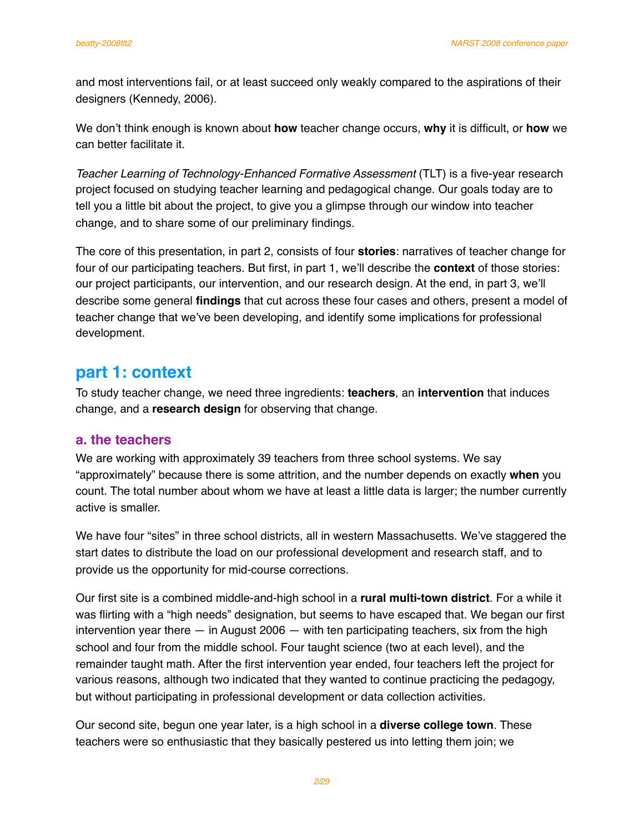and most interventions fail, or at least succeed only weakly compared to the aspirations of their designers (Kennedy, 2006).

We don't think enough is known about **how** teacher change occurs, **why** it is difficult, or **how** we can better facilitate it.

*Teacher Learning of Technology-Enhanced Formative Assessment* (TLT) is a five-year research project focused on studying teacher learning and pedagogical change. Our goals today are to tell you a little bit about the project, to give you a glimpse through our window into teacher change, and to share some of our preliminary findings.

The core of this presentation, in part 2, consists of four **stories**: narratives of teacher change for four of our participating teachers. But first, in part 1, we'll describe the **context** of those stories: our project participants, our intervention, and our research design. At the end, in part 3, we'll describe some general **findings** that cut across these four cases and others, present a model of teacher change that we've been developing, and identify some implications for professional development.

# **part 1: context**

To study teacher change, we need three ingredients: **teachers**, an **intervention** that induces change, and a **research design** for observing that change.

# **a. the teachers**

We are working with approximately 39 teachers from three school systems. We say "approximately" because there is some attrition, and the number depends on exactly **when** you count. The total number about whom we have at least a little data is larger; the number currently active is smaller.

We have four "sites" in three school districts, all in western Massachusetts. We've staggered the start dates to distribute the load on our professional development and research staff, and to provide us the opportunity for mid-course corrections.

Our first site is a combined middle-and-high school in a **rural multi-town district**. For a while it was flirting with a "high needs" designation, but seems to have escaped that. We began our first intervention year there  $-$  in August 2006  $-$  with ten participating teachers, six from the high school and four from the middle school. Four taught science (two at each level), and the remainder taught math. After the first intervention year ended, four teachers left the project for various reasons, although two indicated that they wanted to continue practicing the pedagogy, but without participating in professional development or data collection activities.

Our second site, begun one year later, is a high school in a **diverse college town**. These teachers were so enthusiastic that they basically pestered us into letting them join; we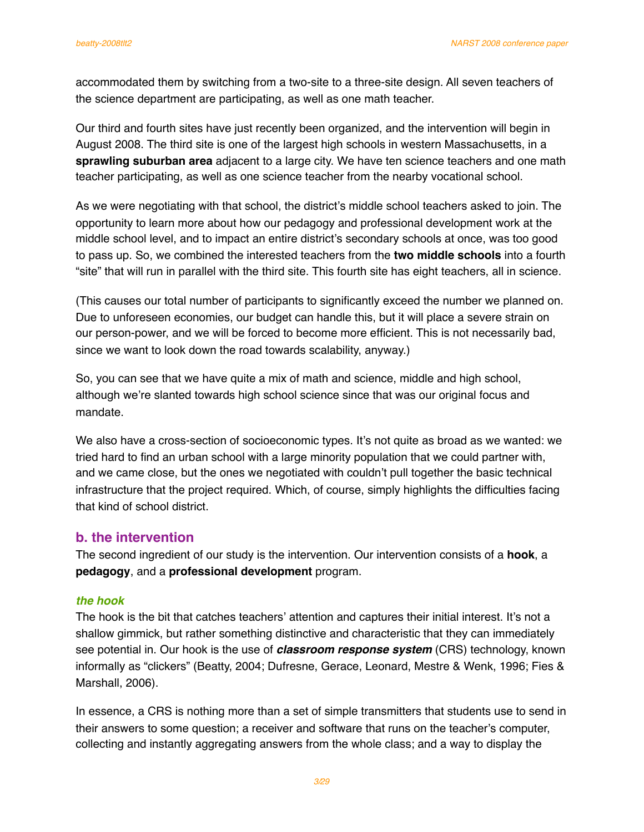accommodated them by switching from a two-site to a three-site design. All seven teachers of the science department are participating, as well as one math teacher.

Our third and fourth sites have just recently been organized, and the intervention will begin in August 2008. The third site is one of the largest high schools in western Massachusetts, in a **sprawling suburban area** adjacent to a large city. We have ten science teachers and one math teacher participating, as well as one science teacher from the nearby vocational school.

As we were negotiating with that school, the district's middle school teachers asked to join. The opportunity to learn more about how our pedagogy and professional development work at the middle school level, and to impact an entire district's secondary schools at once, was too good to pass up. So, we combined the interested teachers from the **two middle schools** into a fourth "site" that will run in parallel with the third site. This fourth site has eight teachers, all in science.

(This causes our total number of participants to significantly exceed the number we planned on. Due to unforeseen economies, our budget can handle this, but it will place a severe strain on our person-power, and we will be forced to become more efficient. This is not necessarily bad, since we want to look down the road towards scalability, anyway.)

So, you can see that we have quite a mix of math and science, middle and high school, although we're slanted towards high school science since that was our original focus and mandate.

We also have a cross-section of socioeconomic types. It's not quite as broad as we wanted: we tried hard to find an urban school with a large minority population that we could partner with, and we came close, but the ones we negotiated with couldn't pull together the basic technical infrastructure that the project required. Which, of course, simply highlights the difficulties facing that kind of school district.

# **b. the intervention**

The second ingredient of our study is the intervention. Our intervention consists of a **hook**, a **pedagogy**, and a **professional development** program.

#### *the hook*

The hook is the bit that catches teachers' attention and captures their initial interest. It's not a shallow gimmick, but rather something distinctive and characteristic that they can immediately see potential in. Our hook is the use of *classroom response system* (CRS) technology, known informally as "clickers" (Beatty, 2004; Dufresne, Gerace, Leonard, Mestre & Wenk, 1996; Fies & Marshall, 2006).

In essence, a CRS is nothing more than a set of simple transmitters that students use to send in their answers to some question; a receiver and software that runs on the teacher's computer, collecting and instantly aggregating answers from the whole class; and a way to display the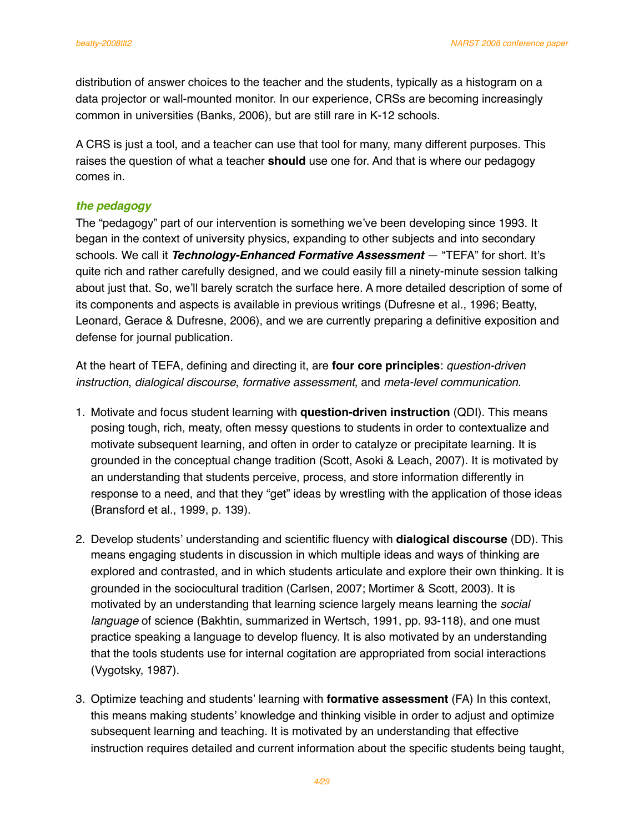distribution of answer choices to the teacher and the students, typically as a histogram on a data projector or wall-mounted monitor. In our experience, CRSs are becoming increasingly common in universities (Banks, 2006), but are still rare in K-12 schools.

A CRS is just a tool, and a teacher can use that tool for many, many different purposes. This raises the question of what a teacher **should** use one for. And that is where our pedagogy comes in.

#### *the pedagogy*

The "pedagogy" part of our intervention is something we've been developing since 1993. It began in the context of university physics, expanding to other subjects and into secondary schools. We call it *Technology-Enhanced Formative Assessment* — "TEFA" for short. It's quite rich and rather carefully designed, and we could easily fill a ninety-minute session talking about just that. So, we'll barely scratch the surface here. A more detailed description of some of its components and aspects is available in previous writings (Dufresne et al., 1996; Beatty, Leonard, Gerace & Dufresne, 2006), and we are currently preparing a definitive exposition and defense for journal publication.

At the heart of TEFA, defining and directing it, are **four core principles**: *question-driven instruction*, *dialogical discourse*, *formative assessment*, and *meta-level communication*.

- 1. Motivate and focus student learning with **question-driven instruction** (QDI). This means posing tough, rich, meaty, often messy questions to students in order to contextualize and motivate subsequent learning, and often in order to catalyze or precipitate learning. It is grounded in the conceptual change tradition (Scott, Asoki & Leach, 2007). It is motivated by an understanding that students perceive, process, and store information differently in response to a need, and that they "get" ideas by wrestling with the application of those ideas (Bransford et al., 1999, p. 139).
- 2. Develop students' understanding and scientific fluency with **dialogical discourse** (DD). This means engaging students in discussion in which multiple ideas and ways of thinking are explored and contrasted, and in which students articulate and explore their own thinking. It is grounded in the sociocultural tradition (Carlsen, 2007; Mortimer & Scott, 2003). It is motivated by an understanding that learning science largely means learning the *social language* of science (Bakhtin, summarized in Wertsch, 1991, pp. 93-118), and one must practice speaking a language to develop fluency. It is also motivated by an understanding that the tools students use for internal cogitation are appropriated from social interactions (Vygotsky, 1987).
- 3. Optimize teaching and students' learning with **formative assessment** (FA) In this context, this means making students' knowledge and thinking visible in order to adjust and optimize subsequent learning and teaching. It is motivated by an understanding that effective instruction requires detailed and current information about the specific students being taught,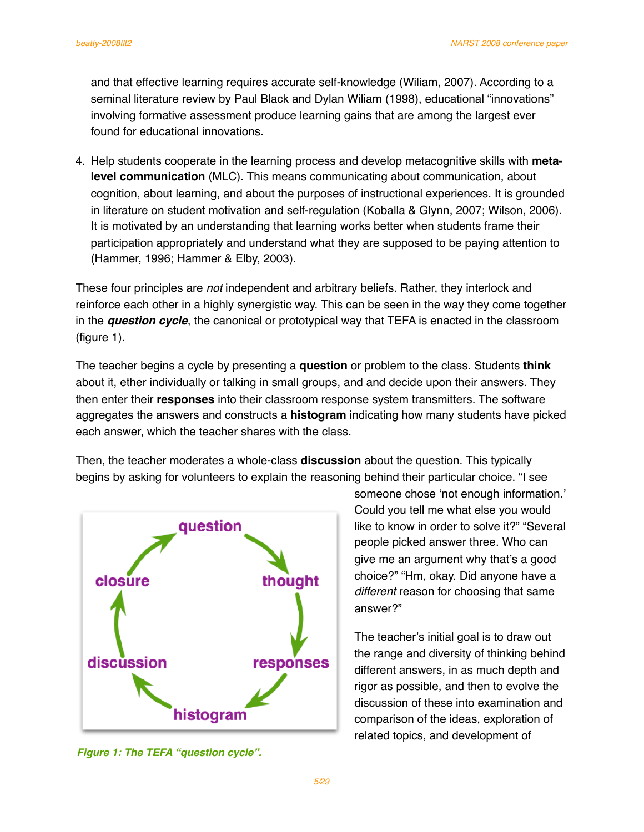and that effective learning requires accurate self-knowledge (Wiliam, 2007). According to a seminal literature review by Paul Black and Dylan Wiliam (1998), educational "innovations" involving formative assessment produce learning gains that are among the largest ever found for educational innovations.

4. Help students cooperate in the learning process and develop metacognitive skills with **metalevel communication** (MLC). This means communicating about communication, about cognition, about learning, and about the purposes of instructional experiences. It is grounded in literature on student motivation and self-regulation (Koballa & Glynn, 2007; Wilson, 2006). It is motivated by an understanding that learning works better when students frame their participation appropriately and understand what they are supposed to be paying attention to (Hammer, 1996; Hammer & Elby, 2003).

These four principles are *not* independent and arbitrary beliefs. Rather, they interlock and reinforce each other in a highly synergistic way. This can be seen in the way they come together in the *question cycle*, the canonical or prototypical way that TEFA is enacted in the classroom (figure 1).

The teacher begins a cycle by presenting a **question** or problem to the class. Students **think** about it, ether individually or talking in small groups, and and decide upon their answers. They then enter their **responses** into their classroom response system transmitters. The software aggregates the answers and constructs a **histogram** indicating how many students have picked each answer, which the teacher shares with the class.

Then, the teacher moderates a whole-class **discussion** about the question. This typically begins by asking for volunteers to explain the reasoning behind their particular choice. "I see



*Figure 1: The TEFA "question cycle".*

someone chose ʻnot enough information.' Could you tell me what else you would like to know in order to solve it?" "Several people picked answer three. Who can give me an argument why that's a good choice?" "Hm, okay. Did anyone have a *different* reason for choosing that same answer?"

The teacher's initial goal is to draw out the range and diversity of thinking behind different answers, in as much depth and rigor as possible, and then to evolve the discussion of these into examination and comparison of the ideas, exploration of related topics, and development of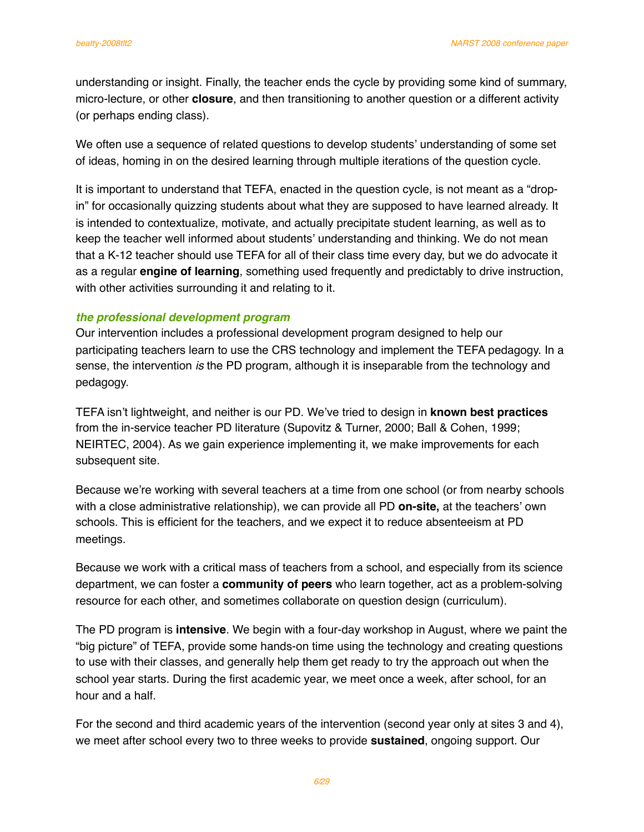understanding or insight. Finally, the teacher ends the cycle by providing some kind of summary, micro-lecture, or other **closure**, and then transitioning to another question or a different activity (or perhaps ending class).

We often use a sequence of related questions to develop students' understanding of some set of ideas, homing in on the desired learning through multiple iterations of the question cycle.

It is important to understand that TEFA, enacted in the question cycle, is not meant as a "dropin" for occasionally quizzing students about what they are supposed to have learned already. It is intended to contextualize, motivate, and actually precipitate student learning, as well as to keep the teacher well informed about students' understanding and thinking. We do not mean that a K-12 teacher should use TEFA for all of their class time every day, but we do advocate it as a regular **engine of learning**, something used frequently and predictably to drive instruction, with other activities surrounding it and relating to it.

#### *the professional development program*

Our intervention includes a professional development program designed to help our participating teachers learn to use the CRS technology and implement the TEFA pedagogy. In a sense, the intervention *is* the PD program, although it is inseparable from the technology and pedagogy.

TEFA isn't lightweight, and neither is our PD. We've tried to design in **known best practices** from the in-service teacher PD literature (Supovitz & Turner, 2000; Ball & Cohen, 1999; NEIRTEC, 2004). As we gain experience implementing it, we make improvements for each subsequent site.

Because we're working with several teachers at a time from one school (or from nearby schools with a close administrative relationship), we can provide all PD **on-site,** at the teachers' own schools. This is efficient for the teachers, and we expect it to reduce absenteeism at PD meetings.

Because we work with a critical mass of teachers from a school, and especially from its science department, we can foster a **community of peers** who learn together, act as a problem-solving resource for each other, and sometimes collaborate on question design (curriculum).

The PD program is **intensive**. We begin with a four-day workshop in August, where we paint the "big picture" of TEFA, provide some hands-on time using the technology and creating questions to use with their classes, and generally help them get ready to try the approach out when the school year starts. During the first academic year, we meet once a week, after school, for an hour and a half.

For the second and third academic years of the intervention (second year only at sites 3 and 4), we meet after school every two to three weeks to provide **sustained**, ongoing support. Our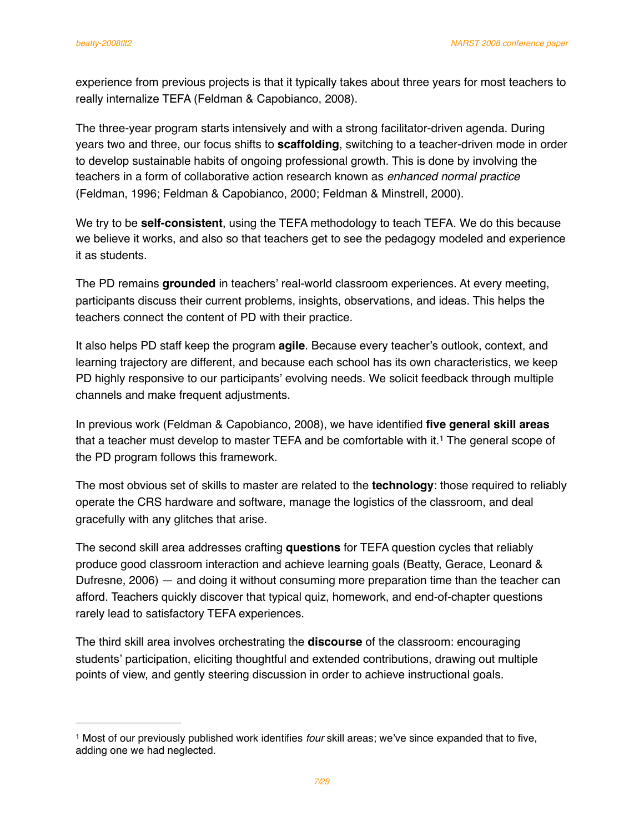experience from previous projects is that it typically takes about three years for most teachers to really internalize TEFA (Feldman & Capobianco, 2008).

The three-year program starts intensively and with a strong facilitator-driven agenda. During years two and three, our focus shifts to **scaffolding**, switching to a teacher-driven mode in order to develop sustainable habits of ongoing professional growth. This is done by involving the teachers in a form of collaborative action research known as *enhanced normal practice* (Feldman, 1996; Feldman & Capobianco, 2000; Feldman & Minstrell, 2000).

We try to be **self-consistent**, using the TEFA methodology to teach TEFA. We do this because we believe it works, and also so that teachers get to see the pedagogy modeled and experience it as students.

The PD remains **grounded** in teachers' real-world classroom experiences. At every meeting, participants discuss their current problems, insights, observations, and ideas. This helps the teachers connect the content of PD with their practice.

It also helps PD staff keep the program **agile**. Because every teacher's outlook, context, and learning trajectory are different, and because each school has its own characteristics, we keep PD highly responsive to our participants' evolving needs. We solicit feedback through multiple channels and make frequent adjustments.

In previous work (Feldman & Capobianco, 2008), we have identified **five general skill areas** that a teacher must develop to master TEFA and be comfortable with it.<sup>1</sup> The general scope of the PD program follows this framework.

The most obvious set of skills to master are related to the **technology**: those required to reliably operate the CRS hardware and software, manage the logistics of the classroom, and deal gracefully with any glitches that arise.

The second skill area addresses crafting **questions** for TEFA question cycles that reliably produce good classroom interaction and achieve learning goals (Beatty, Gerace, Leonard & Dufresne, 2006) — and doing it without consuming more preparation time than the teacher can afford. Teachers quickly discover that typical quiz, homework, and end-of-chapter questions rarely lead to satisfactory TEFA experiences.

The third skill area involves orchestrating the **discourse** of the classroom: encouraging students' participation, eliciting thoughtful and extended contributions, drawing out multiple points of view, and gently steering discussion in order to achieve instructional goals.

<span id="page-8-0"></span><sup>1</sup> Most of our previously published work identifies *four* skill areas; we've since expanded that to five, adding one we had neglected.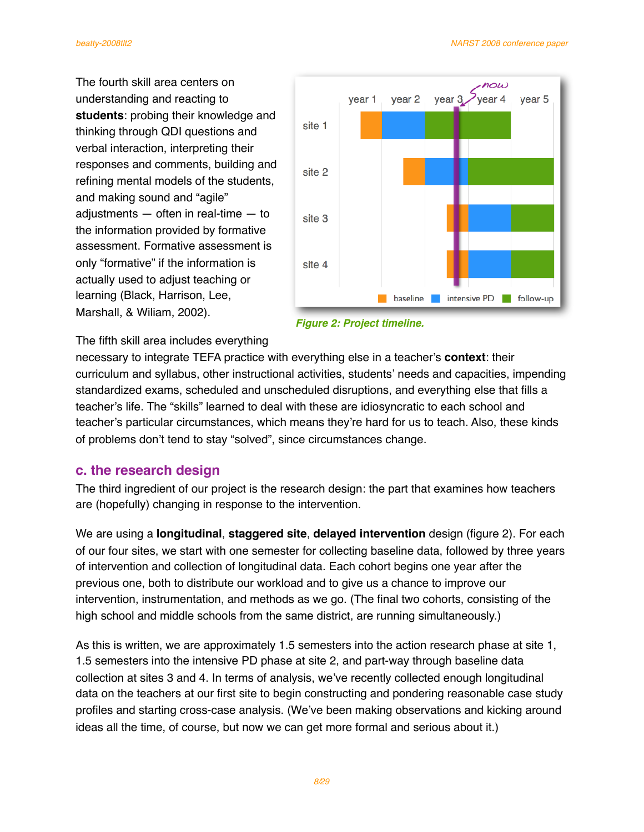The fourth skill area centers on understanding and reacting to **students**: probing their knowledge and thinking through QDI questions and verbal interaction, interpreting their responses and comments, building and refining mental models of the students, and making sound and "agile" adjustments — often in real-time — to the information provided by formative assessment. Formative assessment is only "formative" if the information is actually used to adjust teaching or learning (Black, Harrison, Lee, Marshall, & Wiliam, 2002).





### The fifth skill area includes everything

necessary to integrate TEFA practice with everything else in a teacher's **context**: their curriculum and syllabus, other instructional activities, students' needs and capacities, impending standardized exams, scheduled and unscheduled disruptions, and everything else that fills a teacher's life. The "skills" learned to deal with these are idiosyncratic to each school and teacher's particular circumstances, which means they're hard for us to teach. Also, these kinds of problems don't tend to stay "solved", since circumstances change.

# **c. the research design**

The third ingredient of our project is the research design: the part that examines how teachers are (hopefully) changing in response to the intervention.

We are using a **longitudinal**, **staggered site**, **delayed intervention** design (figure 2). For each of our four sites, we start with one semester for collecting baseline data, followed by three years of intervention and collection of longitudinal data. Each cohort begins one year after the previous one, both to distribute our workload and to give us a chance to improve our intervention, instrumentation, and methods as we go. (The final two cohorts, consisting of the high school and middle schools from the same district, are running simultaneously.)

As this is written, we are approximately 1.5 semesters into the action research phase at site 1, 1.5 semesters into the intensive PD phase at site 2, and part-way through baseline data collection at sites 3 and 4. In terms of analysis, we've recently collected enough longitudinal data on the teachers at our first site to begin constructing and pondering reasonable case study profiles and starting cross-case analysis. (We've been making observations and kicking around ideas all the time, of course, but now we can get more formal and serious about it.)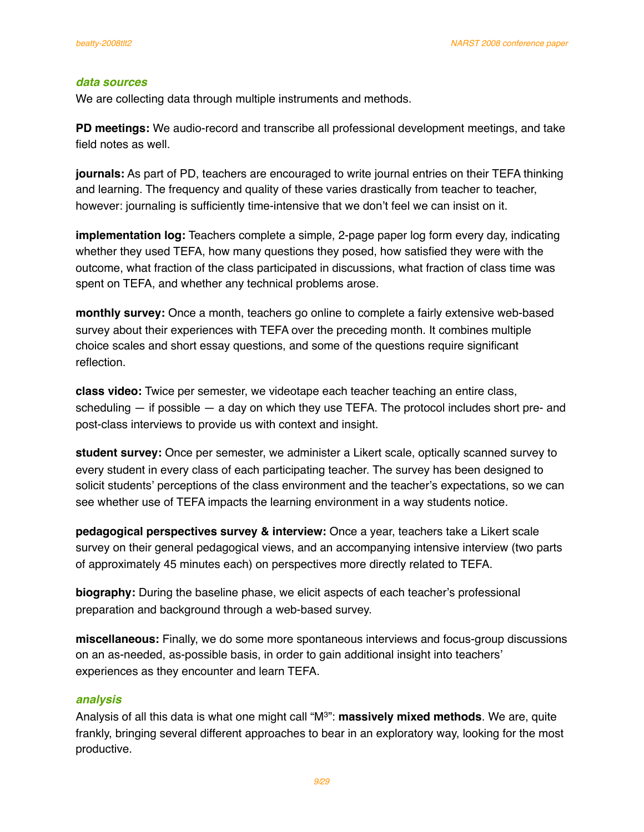#### *data sources*

We are collecting data through multiple instruments and methods.

**PD meetings:** We audio-record and transcribe all professional development meetings, and take field notes as well.

**journals:** As part of PD, teachers are encouraged to write journal entries on their TEFA thinking and learning. The frequency and quality of these varies drastically from teacher to teacher, however: journaling is sufficiently time-intensive that we don't feel we can insist on it.

**implementation log:** Teachers complete a simple, 2-page paper log form every day, indicating whether they used TEFA, how many questions they posed, how satisfied they were with the outcome, what fraction of the class participated in discussions, what fraction of class time was spent on TEFA, and whether any technical problems arose.

**monthly survey:** Once a month, teachers go online to complete a fairly extensive web-based survey about their experiences with TEFA over the preceding month. It combines multiple choice scales and short essay questions, and some of the questions require significant reflection.

**class video:** Twice per semester, we videotape each teacher teaching an entire class, scheduling — if possible — a day on which they use TEFA. The protocol includes short pre- and post-class interviews to provide us with context and insight.

**student survey:** Once per semester, we administer a Likert scale, optically scanned survey to every student in every class of each participating teacher. The survey has been designed to solicit students' perceptions of the class environment and the teacher's expectations, so we can see whether use of TEFA impacts the learning environment in a way students notice.

**pedagogical perspectives survey & interview:** Once a year, teachers take a Likert scale survey on their general pedagogical views, and an accompanying intensive interview (two parts of approximately 45 minutes each) on perspectives more directly related to TEFA.

**biography:** During the baseline phase, we elicit aspects of each teacher's professional preparation and background through a web-based survey.

**miscellaneous:** Finally, we do some more spontaneous interviews and focus-group discussions on an as-needed, as-possible basis, in order to gain additional insight into teachers' experiences as they encounter and learn TEFA.

#### *analysis*

Analysis of all this data is what one might call "M3": **massively mixed methods**. We are, quite frankly, bringing several different approaches to bear in an exploratory way, looking for the most productive.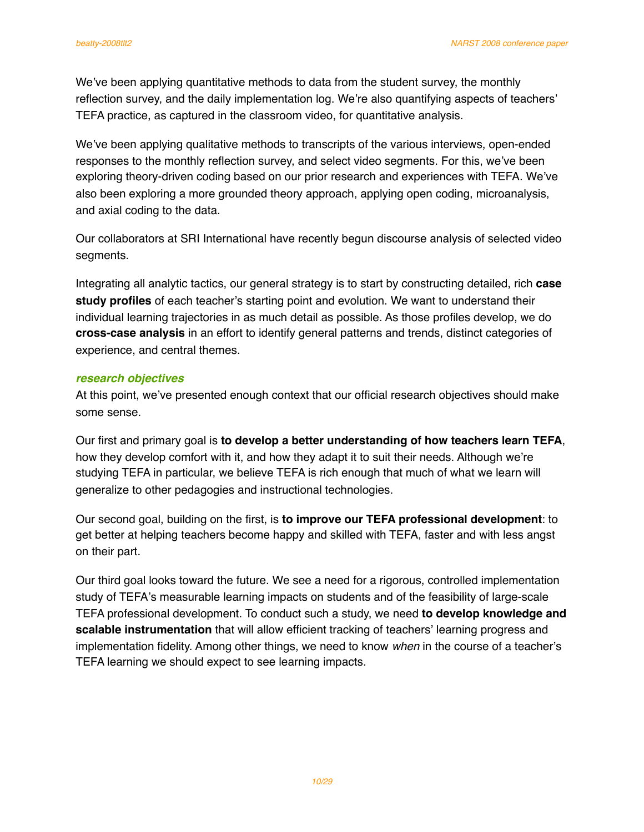We've been applying quantitative methods to data from the student survey, the monthly reflection survey, and the daily implementation log. We're also quantifying aspects of teachers' TEFA practice, as captured in the classroom video, for quantitative analysis.

We've been applying qualitative methods to transcripts of the various interviews, open-ended responses to the monthly reflection survey, and select video segments. For this, we've been exploring theory-driven coding based on our prior research and experiences with TEFA. We've also been exploring a more grounded theory approach, applying open coding, microanalysis, and axial coding to the data.

Our collaborators at SRI International have recently begun discourse analysis of selected video segments.

Integrating all analytic tactics, our general strategy is to start by constructing detailed, rich **case study profiles** of each teacher's starting point and evolution. We want to understand their individual learning trajectories in as much detail as possible. As those profiles develop, we do **cross-case analysis** in an effort to identify general patterns and trends, distinct categories of experience, and central themes.

#### *research objectives*

At this point, we've presented enough context that our official research objectives should make some sense.

Our first and primary goal is **to develop a better understanding of how teachers learn TEFA**, how they develop comfort with it, and how they adapt it to suit their needs. Although we're studying TEFA in particular, we believe TEFA is rich enough that much of what we learn will generalize to other pedagogies and instructional technologies.

Our second goal, building on the first, is **to improve our TEFA professional development**: to get better at helping teachers become happy and skilled with TEFA, faster and with less angst on their part.

Our third goal looks toward the future. We see a need for a rigorous, controlled implementation study of TEFA's measurable learning impacts on students and of the feasibility of large-scale TEFA professional development. To conduct such a study, we need **to develop knowledge and scalable instrumentation** that will allow efficient tracking of teachers' learning progress and implementation fidelity. Among other things, we need to know *when* in the course of a teacher's TEFA learning we should expect to see learning impacts.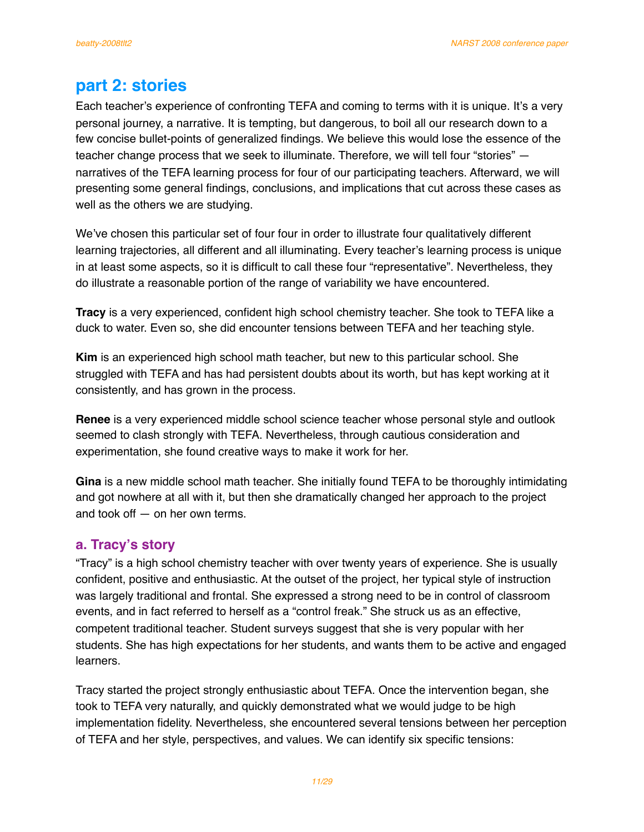# **part 2: stories**

Each teacher's experience of confronting TEFA and coming to terms with it is unique. It's a very personal journey, a narrative. It is tempting, but dangerous, to boil all our research down to a few concise bullet-points of generalized findings. We believe this would lose the essence of the teacher change process that we seek to illuminate. Therefore, we will tell four "stories" narratives of the TEFA learning process for four of our participating teachers. Afterward, we will presenting some general findings, conclusions, and implications that cut across these cases as well as the others we are studying.

We've chosen this particular set of four four in order to illustrate four qualitatively different learning trajectories, all different and all illuminating. Every teacher's learning process is unique in at least some aspects, so it is difficult to call these four "representative". Nevertheless, they do illustrate a reasonable portion of the range of variability we have encountered.

**Tracy** is a very experienced, confident high school chemistry teacher. She took to TEFA like a duck to water. Even so, she did encounter tensions between TEFA and her teaching style.

**Kim** is an experienced high school math teacher, but new to this particular school. She struggled with TEFA and has had persistent doubts about its worth, but has kept working at it consistently, and has grown in the process.

**Renee** is a very experienced middle school science teacher whose personal style and outlook seemed to clash strongly with TEFA. Nevertheless, through cautious consideration and experimentation, she found creative ways to make it work for her.

**Gina** is a new middle school math teacher. She initially found TEFA to be thoroughly intimidating and got nowhere at all with it, but then she dramatically changed her approach to the project and took off — on her own terms.

# **a. Tracy's story**

"Tracy" is a high school chemistry teacher with over twenty years of experience. She is usually confident, positive and enthusiastic. At the outset of the project, her typical style of instruction was largely traditional and frontal. She expressed a strong need to be in control of classroom events, and in fact referred to herself as a "control freak." She struck us as an effective, competent traditional teacher. Student surveys suggest that she is very popular with her students. She has high expectations for her students, and wants them to be active and engaged learners.

Tracy started the project strongly enthusiastic about TEFA. Once the intervention began, she took to TEFA very naturally, and quickly demonstrated what we would judge to be high implementation fidelity. Nevertheless, she encountered several tensions between her perception of TEFA and her style, perspectives, and values. We can identify six specific tensions: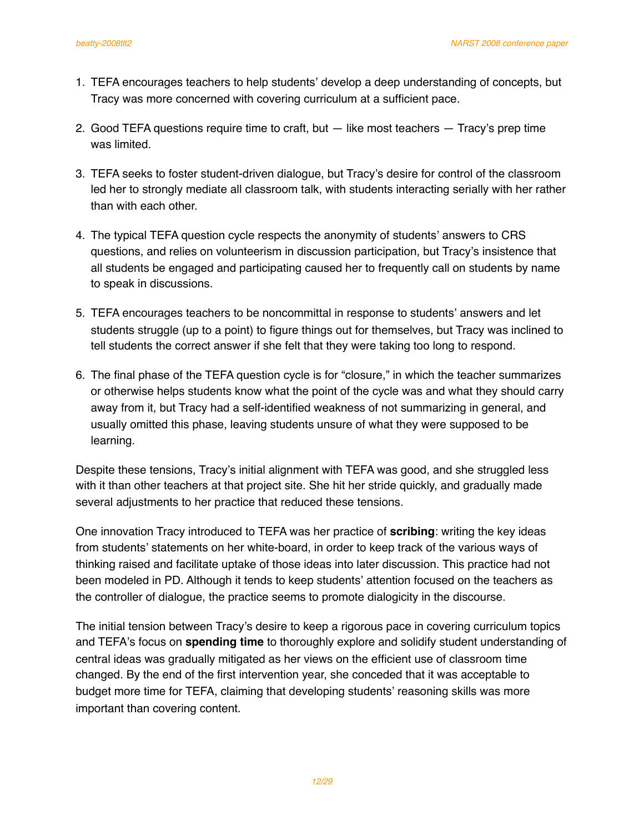- 1. TEFA encourages teachers to help students' develop a deep understanding of concepts, but Tracy was more concerned with covering curriculum at a sufficient pace.
- 2. Good TEFA questions require time to craft, but  $-$  like most teachers  $-$  Tracy's prep time was limited.
- 3. TEFA seeks to foster student-driven dialogue, but Tracy's desire for control of the classroom led her to strongly mediate all classroom talk, with students interacting serially with her rather than with each other.
- 4. The typical TEFA question cycle respects the anonymity of students' answers to CRS questions, and relies on volunteerism in discussion participation, but Tracy's insistence that all students be engaged and participating caused her to frequently call on students by name to speak in discussions.
- 5. TEFA encourages teachers to be noncommittal in response to students' answers and let students struggle (up to a point) to figure things out for themselves, but Tracy was inclined to tell students the correct answer if she felt that they were taking too long to respond.
- 6. The final phase of the TEFA question cycle is for "closure," in which the teacher summarizes or otherwise helps students know what the point of the cycle was and what they should carry away from it, but Tracy had a self-identified weakness of not summarizing in general, and usually omitted this phase, leaving students unsure of what they were supposed to be learning.

Despite these tensions, Tracy's initial alignment with TEFA was good, and she struggled less with it than other teachers at that project site. She hit her stride quickly, and gradually made several adjustments to her practice that reduced these tensions.

One innovation Tracy introduced to TEFA was her practice of **scribing**: writing the key ideas from students' statements on her white-board, in order to keep track of the various ways of thinking raised and facilitate uptake of those ideas into later discussion. This practice had not been modeled in PD. Although it tends to keep students' attention focused on the teachers as the controller of dialogue, the practice seems to promote dialogicity in the discourse.

The initial tension between Tracy's desire to keep a rigorous pace in covering curriculum topics and TEFA's focus on **spending time** to thoroughly explore and solidify student understanding of central ideas was gradually mitigated as her views on the efficient use of classroom time changed. By the end of the first intervention year, she conceded that it was acceptable to budget more time for TEFA, claiming that developing students' reasoning skills was more important than covering content.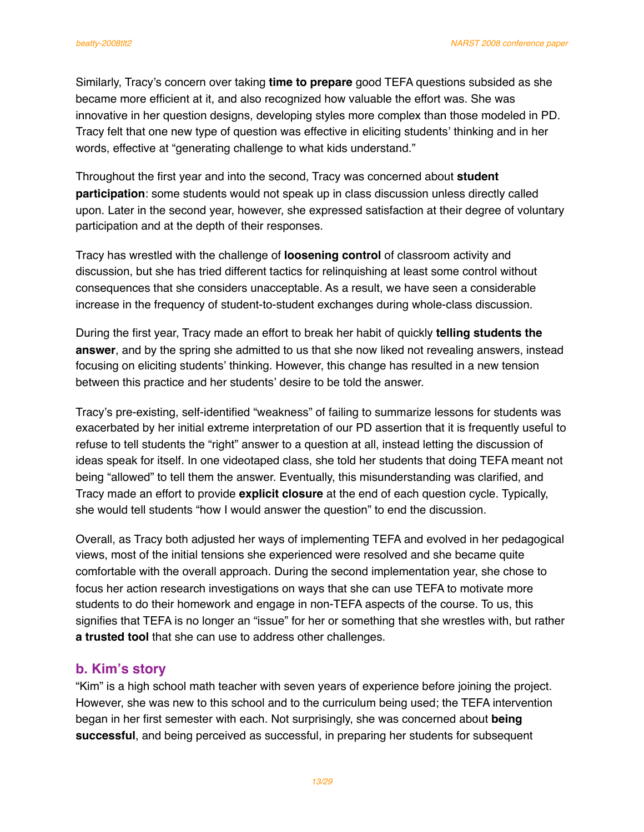Similarly, Tracy's concern over taking **time to prepare** good TEFA questions subsided as she became more efficient at it, and also recognized how valuable the effort was. She was innovative in her question designs, developing styles more complex than those modeled in PD. Tracy felt that one new type of question was effective in eliciting students' thinking and in her words, effective at "generating challenge to what kids understand."

Throughout the first year and into the second, Tracy was concerned about **student participation**: some students would not speak up in class discussion unless directly called upon. Later in the second year, however, she expressed satisfaction at their degree of voluntary participation and at the depth of their responses.

Tracy has wrestled with the challenge of **loosening control** of classroom activity and discussion, but she has tried different tactics for relinquishing at least some control without consequences that she considers unacceptable. As a result, we have seen a considerable increase in the frequency of student-to-student exchanges during whole-class discussion.

During the first year, Tracy made an effort to break her habit of quickly **telling students the answer**, and by the spring she admitted to us that she now liked not revealing answers, instead focusing on eliciting students' thinking. However, this change has resulted in a new tension between this practice and her students' desire to be told the answer.

Tracy's pre-existing, self-identified "weakness" of failing to summarize lessons for students was exacerbated by her initial extreme interpretation of our PD assertion that it is frequently useful to refuse to tell students the "right" answer to a question at all, instead letting the discussion of ideas speak for itself. In one videotaped class, she told her students that doing TEFA meant not being "allowed" to tell them the answer. Eventually, this misunderstanding was clarified, and Tracy made an effort to provide **explicit closure** at the end of each question cycle. Typically, she would tell students "how I would answer the question" to end the discussion.

Overall, as Tracy both adjusted her ways of implementing TEFA and evolved in her pedagogical views, most of the initial tensions she experienced were resolved and she became quite comfortable with the overall approach. During the second implementation year, she chose to focus her action research investigations on ways that she can use TEFA to motivate more students to do their homework and engage in non-TEFA aspects of the course. To us, this signifies that TEFA is no longer an "issue" for her or something that she wrestles with, but rather **a trusted tool** that she can use to address other challenges.

# **b. Kim's story**

"Kim" is a high school math teacher with seven years of experience before joining the project. However, she was new to this school and to the curriculum being used; the TEFA intervention began in her first semester with each. Not surprisingly, she was concerned about **being successful**, and being perceived as successful, in preparing her students for subsequent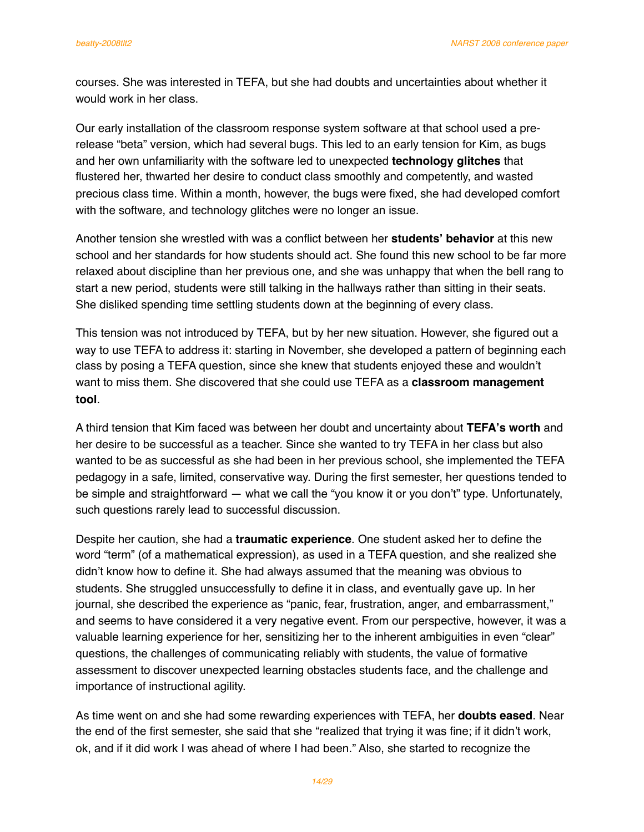courses. She was interested in TEFA, but she had doubts and uncertainties about whether it would work in her class.

Our early installation of the classroom response system software at that school used a prerelease "beta" version, which had several bugs. This led to an early tension for Kim, as bugs and her own unfamiliarity with the software led to unexpected **technology glitches** that flustered her, thwarted her desire to conduct class smoothly and competently, and wasted precious class time. Within a month, however, the bugs were fixed, she had developed comfort with the software, and technology glitches were no longer an issue.

Another tension she wrestled with was a conflict between her **students' behavior** at this new school and her standards for how students should act. She found this new school to be far more relaxed about discipline than her previous one, and she was unhappy that when the bell rang to start a new period, students were still talking in the hallways rather than sitting in their seats. She disliked spending time settling students down at the beginning of every class.

This tension was not introduced by TEFA, but by her new situation. However, she figured out a way to use TEFA to address it: starting in November, she developed a pattern of beginning each class by posing a TEFA question, since she knew that students enjoyed these and wouldn't want to miss them. She discovered that she could use TEFA as a **classroom management tool**.

A third tension that Kim faced was between her doubt and uncertainty about **TEFA's worth** and her desire to be successful as a teacher. Since she wanted to try TEFA in her class but also wanted to be as successful as she had been in her previous school, she implemented the TEFA pedagogy in a safe, limited, conservative way. During the first semester, her questions tended to be simple and straightforward — what we call the "you know it or you don't" type. Unfortunately, such questions rarely lead to successful discussion.

Despite her caution, she had a **traumatic experience**. One student asked her to define the word "term" (of a mathematical expression), as used in a TEFA question, and she realized she didn't know how to define it. She had always assumed that the meaning was obvious to students. She struggled unsuccessfully to define it in class, and eventually gave up. In her journal, she described the experience as "panic, fear, frustration, anger, and embarrassment," and seems to have considered it a very negative event. From our perspective, however, it was a valuable learning experience for her, sensitizing her to the inherent ambiguities in even "clear" questions, the challenges of communicating reliably with students, the value of formative assessment to discover unexpected learning obstacles students face, and the challenge and importance of instructional agility.

As time went on and she had some rewarding experiences with TEFA, her **doubts eased**. Near the end of the first semester, she said that she "realized that trying it was fine; if it didn't work, ok, and if it did work I was ahead of where I had been." Also, she started to recognize the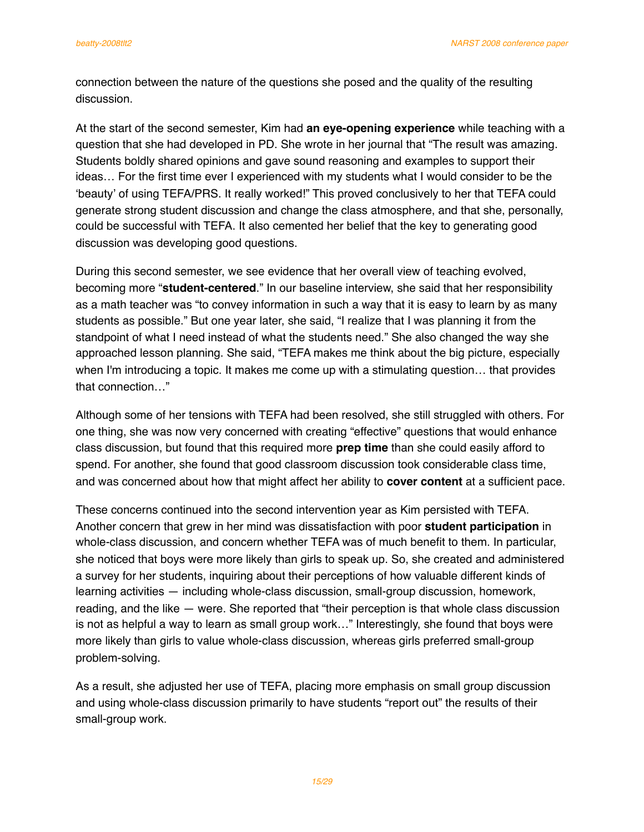connection between the nature of the questions she posed and the quality of the resulting discussion.

At the start of the second semester, Kim had **an eye-opening experience** while teaching with a question that she had developed in PD. She wrote in her journal that "The result was amazing. Students boldly shared opinions and gave sound reasoning and examples to support their ideas… For the first time ever I experienced with my students what I would consider to be the ʻbeauty' of using TEFA/PRS. It really worked!" This proved conclusively to her that TEFA could generate strong student discussion and change the class atmosphere, and that she, personally, could be successful with TEFA. It also cemented her belief that the key to generating good discussion was developing good questions.

During this second semester, we see evidence that her overall view of teaching evolved, becoming more "**student-centered**." In our baseline interview, she said that her responsibility as a math teacher was "to convey information in such a way that it is easy to learn by as many students as possible." But one year later, she said, "I realize that I was planning it from the standpoint of what I need instead of what the students need." She also changed the way she approached lesson planning. She said, "TEFA makes me think about the big picture, especially when I'm introducing a topic. It makes me come up with a stimulating question… that provides that connection…"

Although some of her tensions with TEFA had been resolved, she still struggled with others. For one thing, she was now very concerned with creating "effective" questions that would enhance class discussion, but found that this required more **prep time** than she could easily afford to spend. For another, she found that good classroom discussion took considerable class time, and was concerned about how that might affect her ability to **cover content** at a sufficient pace.

These concerns continued into the second intervention year as Kim persisted with TEFA. Another concern that grew in her mind was dissatisfaction with poor **student participation** in whole-class discussion, and concern whether TEFA was of much benefit to them. In particular, she noticed that boys were more likely than girls to speak up. So, she created and administered a survey for her students, inquiring about their perceptions of how valuable different kinds of learning activities — including whole-class discussion, small-group discussion, homework, reading, and the like — were. She reported that "their perception is that whole class discussion is not as helpful a way to learn as small group work…" Interestingly, she found that boys were more likely than girls to value whole-class discussion, whereas girls preferred small-group problem-solving.

As a result, she adjusted her use of TEFA, placing more emphasis on small group discussion and using whole-class discussion primarily to have students "report out" the results of their small-group work.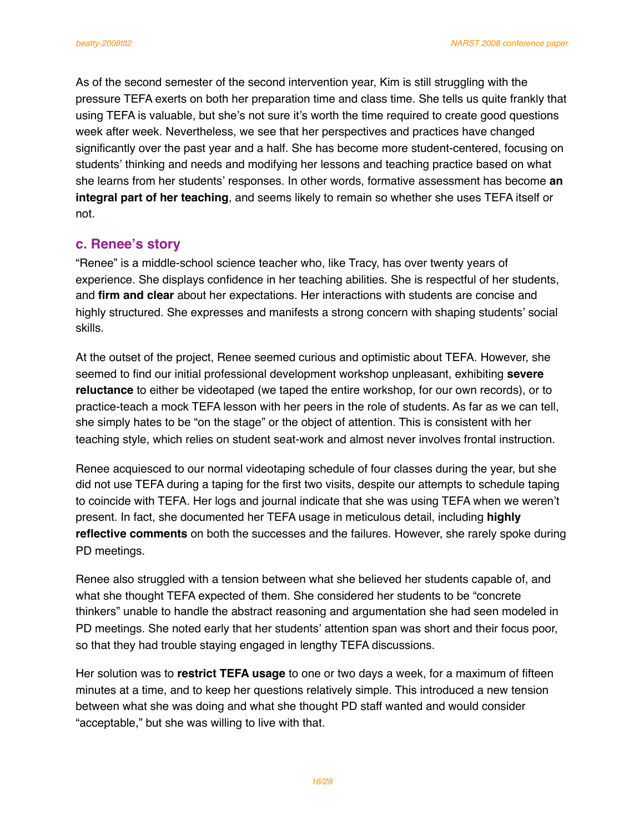As of the second semester of the second intervention year, Kim is still struggling with the pressure TEFA exerts on both her preparation time and class time. She tells us quite frankly that using TEFA is valuable, but she's not sure it's worth the time required to create good questions week after week. Nevertheless, we see that her perspectives and practices have changed significantly over the past year and a half. She has become more student-centered, focusing on students' thinking and needs and modifying her lessons and teaching practice based on what she learns from her students' responses. In other words, formative assessment has become **an integral part of her teaching**, and seems likely to remain so whether she uses TEFA itself or not.

# **c. Renee's story**

"Renee" is a middle-school science teacher who, like Tracy, has over twenty years of experience. She displays confidence in her teaching abilities. She is respectful of her students, and **firm and clear** about her expectations. Her interactions with students are concise and highly structured. She expresses and manifests a strong concern with shaping students' social skills.

At the outset of the project, Renee seemed curious and optimistic about TEFA. However, she seemed to find our initial professional development workshop unpleasant, exhibiting **severe reluctance** to either be videotaped (we taped the entire workshop, for our own records), or to practice-teach a mock TEFA lesson with her peers in the role of students. As far as we can tell, she simply hates to be "on the stage" or the object of attention. This is consistent with her teaching style, which relies on student seat-work and almost never involves frontal instruction.

Renee acquiesced to our normal videotaping schedule of four classes during the year, but she did not use TEFA during a taping for the first two visits, despite our attempts to schedule taping to coincide with TEFA. Her logs and journal indicate that she was using TEFA when we weren't present. In fact, she documented her TEFA usage in meticulous detail, including **highly reflective comments** on both the successes and the failures. However, she rarely spoke during PD meetings.

Renee also struggled with a tension between what she believed her students capable of, and what she thought TEFA expected of them. She considered her students to be "concrete thinkers" unable to handle the abstract reasoning and argumentation she had seen modeled in PD meetings. She noted early that her students' attention span was short and their focus poor, so that they had trouble staying engaged in lengthy TEFA discussions.

Her solution was to **restrict TEFA usage** to one or two days a week, for a maximum of fifteen minutes at a time, and to keep her questions relatively simple. This introduced a new tension between what she was doing and what she thought PD staff wanted and would consider "acceptable," but she was willing to live with that.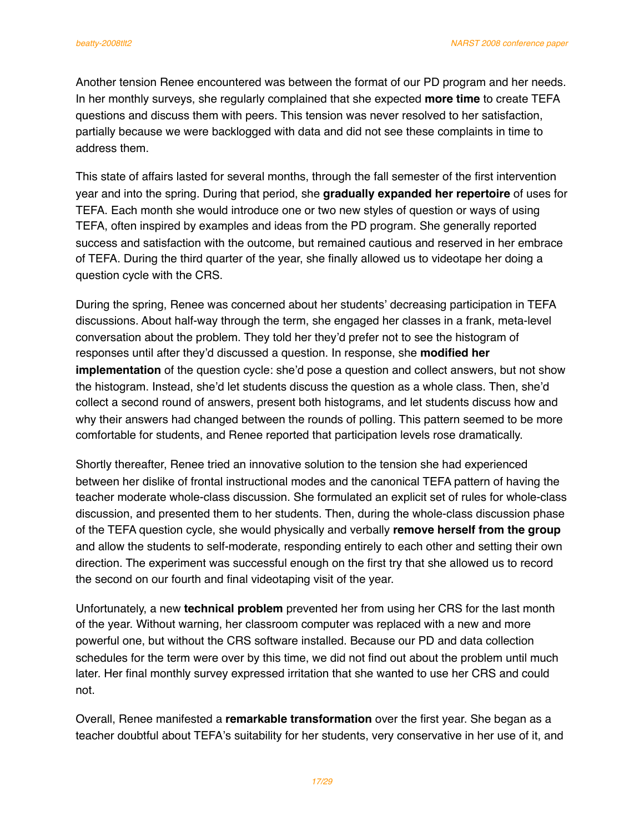Another tension Renee encountered was between the format of our PD program and her needs. In her monthly surveys, she regularly complained that she expected **more time** to create TEFA questions and discuss them with peers. This tension was never resolved to her satisfaction, partially because we were backlogged with data and did not see these complaints in time to address them.

This state of affairs lasted for several months, through the fall semester of the first intervention year and into the spring. During that period, she **gradually expanded her repertoire** of uses for TEFA. Each month she would introduce one or two new styles of question or ways of using TEFA, often inspired by examples and ideas from the PD program. She generally reported success and satisfaction with the outcome, but remained cautious and reserved in her embrace of TEFA. During the third quarter of the year, she finally allowed us to videotape her doing a question cycle with the CRS.

During the spring, Renee was concerned about her students' decreasing participation in TEFA discussions. About half-way through the term, she engaged her classes in a frank, meta-level conversation about the problem. They told her they'd prefer not to see the histogram of responses until after they'd discussed a question. In response, she **modified her implementation** of the question cycle: she'd pose a question and collect answers, but not show the histogram. Instead, she'd let students discuss the question as a whole class. Then, she'd collect a second round of answers, present both histograms, and let students discuss how and why their answers had changed between the rounds of polling. This pattern seemed to be more comfortable for students, and Renee reported that participation levels rose dramatically.

Shortly thereafter, Renee tried an innovative solution to the tension she had experienced between her dislike of frontal instructional modes and the canonical TEFA pattern of having the teacher moderate whole-class discussion. She formulated an explicit set of rules for whole-class discussion, and presented them to her students. Then, during the whole-class discussion phase of the TEFA question cycle, she would physically and verbally **remove herself from the group** and allow the students to self-moderate, responding entirely to each other and setting their own direction. The experiment was successful enough on the first try that she allowed us to record the second on our fourth and final videotaping visit of the year.

Unfortunately, a new **technical problem** prevented her from using her CRS for the last month of the year. Without warning, her classroom computer was replaced with a new and more powerful one, but without the CRS software installed. Because our PD and data collection schedules for the term were over by this time, we did not find out about the problem until much later. Her final monthly survey expressed irritation that she wanted to use her CRS and could not.

Overall, Renee manifested a **remarkable transformation** over the first year. She began as a teacher doubtful about TEFA's suitability for her students, very conservative in her use of it, and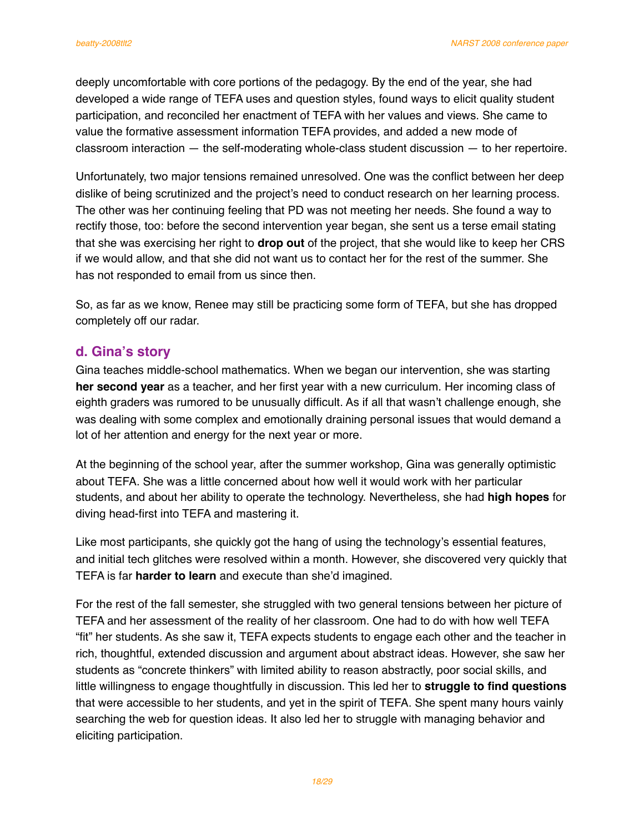deeply uncomfortable with core portions of the pedagogy. By the end of the year, she had developed a wide range of TEFA uses and question styles, found ways to elicit quality student participation, and reconciled her enactment of TEFA with her values and views. She came to value the formative assessment information TEFA provides, and added a new mode of classroom interaction — the self-moderating whole-class student discussion — to her repertoire.

Unfortunately, two major tensions remained unresolved. One was the conflict between her deep dislike of being scrutinized and the project's need to conduct research on her learning process. The other was her continuing feeling that PD was not meeting her needs. She found a way to rectify those, too: before the second intervention year began, she sent us a terse email stating that she was exercising her right to **drop out** of the project, that she would like to keep her CRS if we would allow, and that she did not want us to contact her for the rest of the summer. She has not responded to email from us since then.

So, as far as we know, Renee may still be practicing some form of TEFA, but she has dropped completely off our radar.

# **d. Gina's story**

Gina teaches middle-school mathematics. When we began our intervention, she was starting **her second year** as a teacher, and her first year with a new curriculum. Her incoming class of eighth graders was rumored to be unusually difficult. As if all that wasn't challenge enough, she was dealing with some complex and emotionally draining personal issues that would demand a lot of her attention and energy for the next year or more.

At the beginning of the school year, after the summer workshop, Gina was generally optimistic about TEFA. She was a little concerned about how well it would work with her particular students, and about her ability to operate the technology. Nevertheless, she had **high hopes** for diving head-first into TEFA and mastering it.

Like most participants, she quickly got the hang of using the technology's essential features, and initial tech glitches were resolved within a month. However, she discovered very quickly that TEFA is far **harder to learn** and execute than she'd imagined.

For the rest of the fall semester, she struggled with two general tensions between her picture of TEFA and her assessment of the reality of her classroom. One had to do with how well TEFA "fit" her students. As she saw it, TEFA expects students to engage each other and the teacher in rich, thoughtful, extended discussion and argument about abstract ideas. However, she saw her students as "concrete thinkers" with limited ability to reason abstractly, poor social skills, and little willingness to engage thoughtfully in discussion. This led her to **struggle to find questions** that were accessible to her students, and yet in the spirit of TEFA. She spent many hours vainly searching the web for question ideas. It also led her to struggle with managing behavior and eliciting participation.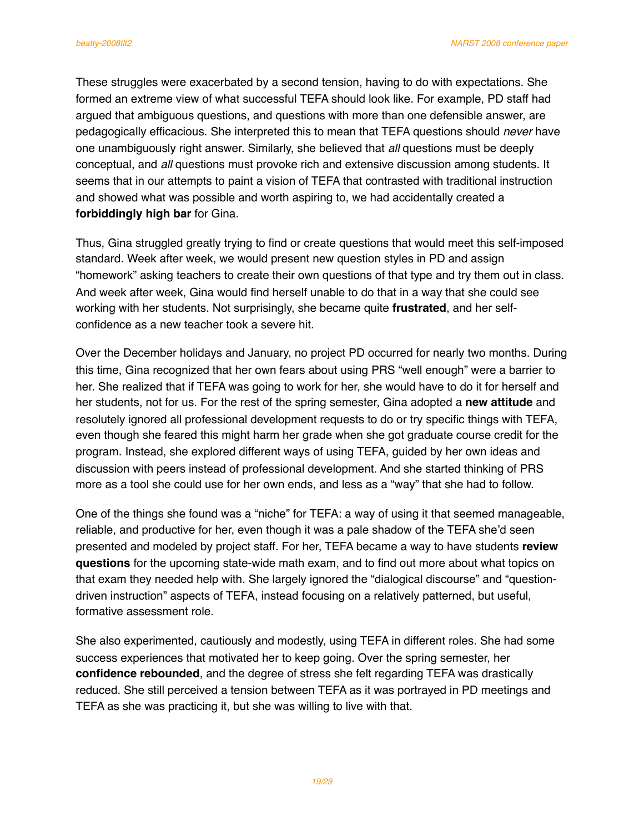These struggles were exacerbated by a second tension, having to do with expectations. She formed an extreme view of what successful TEFA should look like. For example, PD staff had argued that ambiguous questions, and questions with more than one defensible answer, are pedagogically efficacious. She interpreted this to mean that TEFA questions should *never* have one unambiguously right answer. Similarly, she believed that *all* questions must be deeply conceptual, and *all* questions must provoke rich and extensive discussion among students. It seems that in our attempts to paint a vision of TEFA that contrasted with traditional instruction and showed what was possible and worth aspiring to, we had accidentally created a **forbiddingly high bar** for Gina.

Thus, Gina struggled greatly trying to find or create questions that would meet this self-imposed standard. Week after week, we would present new question styles in PD and assign "homework" asking teachers to create their own questions of that type and try them out in class. And week after week, Gina would find herself unable to do that in a way that she could see working with her students. Not surprisingly, she became quite **frustrated**, and her selfconfidence as a new teacher took a severe hit.

Over the December holidays and January, no project PD occurred for nearly two months. During this time, Gina recognized that her own fears about using PRS "well enough" were a barrier to her. She realized that if TEFA was going to work for her, she would have to do it for herself and her students, not for us. For the rest of the spring semester, Gina adopted a **new attitude** and resolutely ignored all professional development requests to do or try specific things with TEFA, even though she feared this might harm her grade when she got graduate course credit for the program. Instead, she explored different ways of using TEFA, guided by her own ideas and discussion with peers instead of professional development. And she started thinking of PRS more as a tool she could use for her own ends, and less as a "way" that she had to follow.

One of the things she found was a "niche" for TEFA: a way of using it that seemed manageable, reliable, and productive for her, even though it was a pale shadow of the TEFA she'd seen presented and modeled by project staff. For her, TEFA became a way to have students **review questions** for the upcoming state-wide math exam, and to find out more about what topics on that exam they needed help with. She largely ignored the "dialogical discourse" and "questiondriven instruction" aspects of TEFA, instead focusing on a relatively patterned, but useful, formative assessment role.

She also experimented, cautiously and modestly, using TEFA in different roles. She had some success experiences that motivated her to keep going. Over the spring semester, her **confidence rebounded**, and the degree of stress she felt regarding TEFA was drastically reduced. She still perceived a tension between TEFA as it was portrayed in PD meetings and TEFA as she was practicing it, but she was willing to live with that.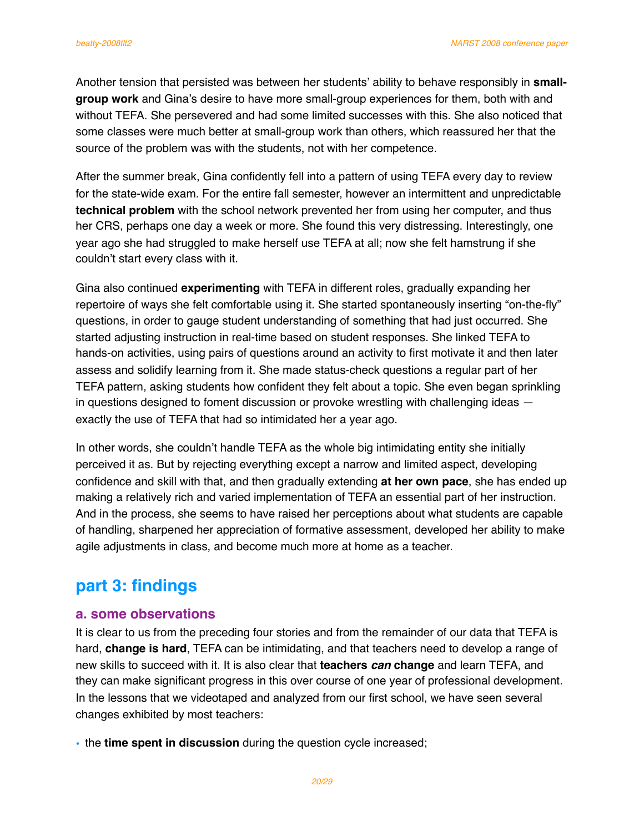Another tension that persisted was between her students' ability to behave responsibly in **smallgroup work** and Gina's desire to have more small-group experiences for them, both with and without TEFA. She persevered and had some limited successes with this. She also noticed that some classes were much better at small-group work than others, which reassured her that the source of the problem was with the students, not with her competence.

After the summer break, Gina confidently fell into a pattern of using TEFA every day to review for the state-wide exam. For the entire fall semester, however an intermittent and unpredictable **technical problem** with the school network prevented her from using her computer, and thus her CRS, perhaps one day a week or more. She found this very distressing. Interestingly, one year ago she had struggled to make herself use TEFA at all; now she felt hamstrung if she couldn't start every class with it.

Gina also continued **experimenting** with TEFA in different roles, gradually expanding her repertoire of ways she felt comfortable using it. She started spontaneously inserting "on-the-fly" questions, in order to gauge student understanding of something that had just occurred. She started adjusting instruction in real-time based on student responses. She linked TEFA to hands-on activities, using pairs of questions around an activity to first motivate it and then later assess and solidify learning from it. She made status-check questions a regular part of her TEFA pattern, asking students how confident they felt about a topic. She even began sprinkling in questions designed to foment discussion or provoke wrestling with challenging ideas exactly the use of TEFA that had so intimidated her a year ago.

In other words, she couldn't handle TEFA as the whole big intimidating entity she initially perceived it as. But by rejecting everything except a narrow and limited aspect, developing confidence and skill with that, and then gradually extending **at her own pace**, she has ended up making a relatively rich and varied implementation of TEFA an essential part of her instruction. And in the process, she seems to have raised her perceptions about what students are capable of handling, sharpened her appreciation of formative assessment, developed her ability to make agile adjustments in class, and become much more at home as a teacher.

# **part 3: findings**

# **a. some observations**

It is clear to us from the preceding four stories and from the remainder of our data that TEFA is hard, **change is hard**, TEFA can be intimidating, and that teachers need to develop a range of new skills to succeed with it. It is also clear that **teachers** *can* **change** and learn TEFA, and they can make significant progress in this over course of one year of professional development. In the lessons that we videotaped and analyzed from our first school, we have seen several changes exhibited by most teachers:

• the **time spent in discussion** during the question cycle increased;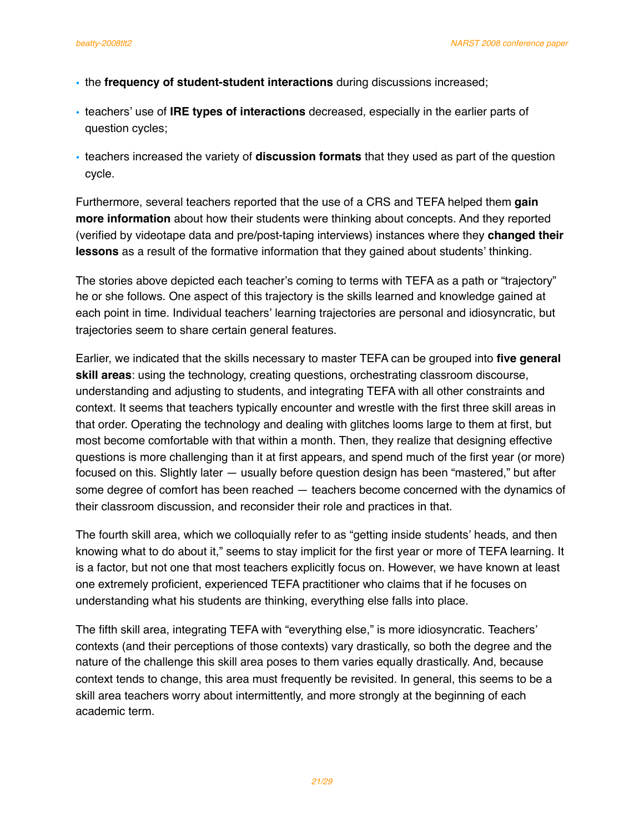- the **frequency of student-student interactions** during discussions increased;
- teachers' use of **IRE types of interactions** decreased, especially in the earlier parts of question cycles;
- teachers increased the variety of **discussion formats** that they used as part of the question cycle.

Furthermore, several teachers reported that the use of a CRS and TEFA helped them **gain more information** about how their students were thinking about concepts. And they reported (verified by videotape data and pre/post-taping interviews) instances where they **changed their lessons** as a result of the formative information that they gained about students' thinking.

The stories above depicted each teacher's coming to terms with TEFA as a path or "trajectory" he or she follows. One aspect of this trajectory is the skills learned and knowledge gained at each point in time. Individual teachers' learning trajectories are personal and idiosyncratic, but trajectories seem to share certain general features.

Earlier, we indicated that the skills necessary to master TEFA can be grouped into **five general skill areas**: using the technology, creating questions, orchestrating classroom discourse, understanding and adjusting to students, and integrating TEFA with all other constraints and context. It seems that teachers typically encounter and wrestle with the first three skill areas in that order. Operating the technology and dealing with glitches looms large to them at first, but most become comfortable with that within a month. Then, they realize that designing effective questions is more challenging than it at first appears, and spend much of the first year (or more) focused on this. Slightly later — usually before question design has been "mastered," but after some degree of comfort has been reached — teachers become concerned with the dynamics of their classroom discussion, and reconsider their role and practices in that.

The fourth skill area, which we colloquially refer to as "getting inside students' heads, and then knowing what to do about it," seems to stay implicit for the first year or more of TEFA learning. It is a factor, but not one that most teachers explicitly focus on. However, we have known at least one extremely proficient, experienced TEFA practitioner who claims that if he focuses on understanding what his students are thinking, everything else falls into place.

The fifth skill area, integrating TEFA with "everything else," is more idiosyncratic. Teachers' contexts (and their perceptions of those contexts) vary drastically, so both the degree and the nature of the challenge this skill area poses to them varies equally drastically. And, because context tends to change, this area must frequently be revisited. In general, this seems to be a skill area teachers worry about intermittently, and more strongly at the beginning of each academic term.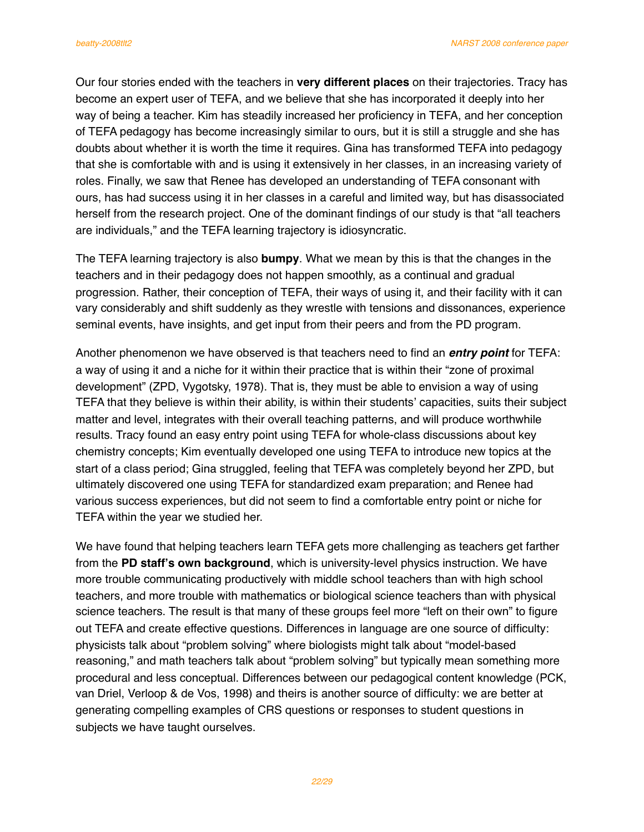Our four stories ended with the teachers in **very different places** on their trajectories. Tracy has become an expert user of TEFA, and we believe that she has incorporated it deeply into her way of being a teacher. Kim has steadily increased her proficiency in TEFA, and her conception of TEFA pedagogy has become increasingly similar to ours, but it is still a struggle and she has doubts about whether it is worth the time it requires. Gina has transformed TEFA into pedagogy that she is comfortable with and is using it extensively in her classes, in an increasing variety of roles. Finally, we saw that Renee has developed an understanding of TEFA consonant with ours, has had success using it in her classes in a careful and limited way, but has disassociated herself from the research project. One of the dominant findings of our study is that "all teachers are individuals," and the TEFA learning trajectory is idiosyncratic.

The TEFA learning trajectory is also **bumpy**. What we mean by this is that the changes in the teachers and in their pedagogy does not happen smoothly, as a continual and gradual progression. Rather, their conception of TEFA, their ways of using it, and their facility with it can vary considerably and shift suddenly as they wrestle with tensions and dissonances, experience seminal events, have insights, and get input from their peers and from the PD program.

Another phenomenon we have observed is that teachers need to find an *entry point* for TEFA: a way of using it and a niche for it within their practice that is within their "zone of proximal development" (ZPD, Vygotsky, 1978). That is, they must be able to envision a way of using TEFA that they believe is within their ability, is within their students' capacities, suits their subject matter and level, integrates with their overall teaching patterns, and will produce worthwhile results. Tracy found an easy entry point using TEFA for whole-class discussions about key chemistry concepts; Kim eventually developed one using TEFA to introduce new topics at the start of a class period; Gina struggled, feeling that TEFA was completely beyond her ZPD, but ultimately discovered one using TEFA for standardized exam preparation; and Renee had various success experiences, but did not seem to find a comfortable entry point or niche for TEFA within the year we studied her.

We have found that helping teachers learn TEFA gets more challenging as teachers get farther from the **PD staff's own background**, which is university-level physics instruction. We have more trouble communicating productively with middle school teachers than with high school teachers, and more trouble with mathematics or biological science teachers than with physical science teachers. The result is that many of these groups feel more "left on their own" to figure out TEFA and create effective questions. Differences in language are one source of difficulty: physicists talk about "problem solving" where biologists might talk about "model-based reasoning," and math teachers talk about "problem solving" but typically mean something more procedural and less conceptual. Differences between our pedagogical content knowledge (PCK, van Driel, Verloop & de Vos, 1998) and theirs is another source of difficulty: we are better at generating compelling examples of CRS questions or responses to student questions in subjects we have taught ourselves.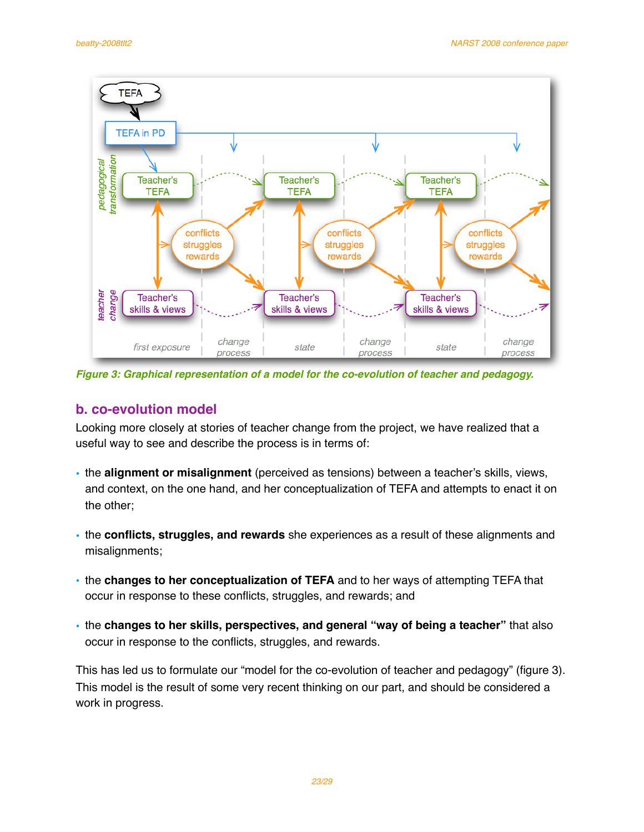

*Figure 3: Graphical representation of a model for the co-evolution of teacher and pedagogy.*

# **b. co-evolution model**

Looking more closely at stories of teacher change from the project, we have realized that a useful way to see and describe the process is in terms of:

- the **alignment or misalignment** (perceived as tensions) between a teacher's skills, views, and context, on the one hand, and her conceptualization of TEFA and attempts to enact it on the other;
- the **conflicts, struggles, and rewards** she experiences as a result of these alignments and misalignments;
- the **changes to her conceptualization of TEFA** and to her ways of attempting TEFA that occur in response to these conflicts, struggles, and rewards; and
- the **changes to her skills, perspectives, and general "way of being a teacher"** that also occur in response to the conflicts, struggles, and rewards.

This has led us to formulate our "model for the co-evolution of teacher and pedagogy" (figure 3). This model is the result of some very recent thinking on our part, and should be considered a work in progress.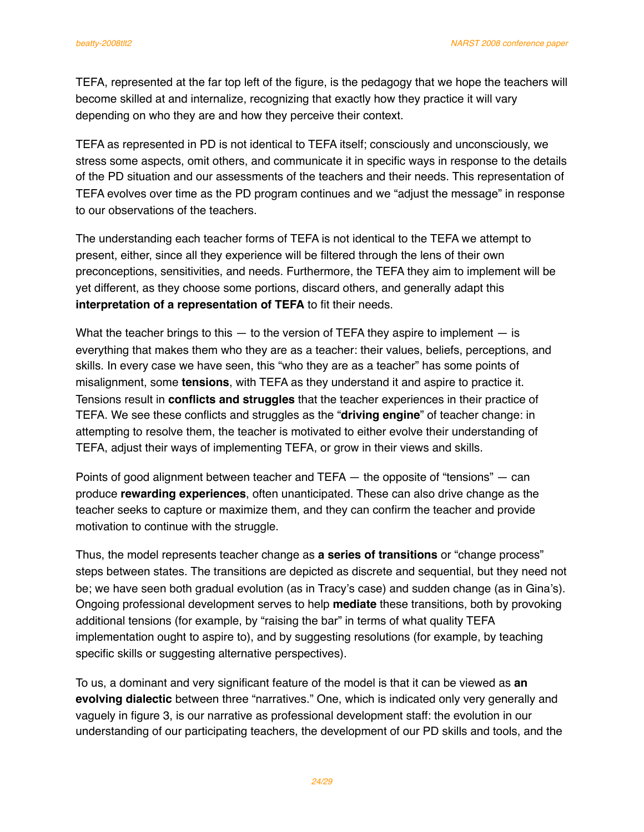TEFA, represented at the far top left of the figure, is the pedagogy that we hope the teachers will become skilled at and internalize, recognizing that exactly how they practice it will vary depending on who they are and how they perceive their context.

TEFA as represented in PD is not identical to TEFA itself; consciously and unconsciously, we stress some aspects, omit others, and communicate it in specific ways in response to the details of the PD situation and our assessments of the teachers and their needs. This representation of TEFA evolves over time as the PD program continues and we "adjust the message" in response to our observations of the teachers.

The understanding each teacher forms of TEFA is not identical to the TEFA we attempt to present, either, since all they experience will be filtered through the lens of their own preconceptions, sensitivities, and needs. Furthermore, the TEFA they aim to implement will be yet different, as they choose some portions, discard others, and generally adapt this **interpretation of a representation of TEFA** to fit their needs.

What the teacher brings to this  $-$  to the version of TEFA they aspire to implement  $-$  is everything that makes them who they are as a teacher: their values, beliefs, perceptions, and skills. In every case we have seen, this "who they are as a teacher" has some points of misalignment, some **tensions**, with TEFA as they understand it and aspire to practice it. Tensions result in **conflicts and struggles** that the teacher experiences in their practice of TEFA. We see these conflicts and struggles as the "**driving engine**" of teacher change: in attempting to resolve them, the teacher is motivated to either evolve their understanding of TEFA, adjust their ways of implementing TEFA, or grow in their views and skills.

Points of good alignment between teacher and TEFA — the opposite of "tensions" — can produce **rewarding experiences**, often unanticipated. These can also drive change as the teacher seeks to capture or maximize them, and they can confirm the teacher and provide motivation to continue with the struggle.

Thus, the model represents teacher change as **a series of transitions** or "change process" steps between states. The transitions are depicted as discrete and sequential, but they need not be; we have seen both gradual evolution (as in Tracy's case) and sudden change (as in Gina's). Ongoing professional development serves to help **mediate** these transitions, both by provoking additional tensions (for example, by "raising the bar" in terms of what quality TEFA implementation ought to aspire to), and by suggesting resolutions (for example, by teaching specific skills or suggesting alternative perspectives).

To us, a dominant and very significant feature of the model is that it can be viewed as **an evolving dialectic** between three "narratives." One, which is indicated only very generally and vaguely in figure 3, is our narrative as professional development staff: the evolution in our understanding of our participating teachers, the development of our PD skills and tools, and the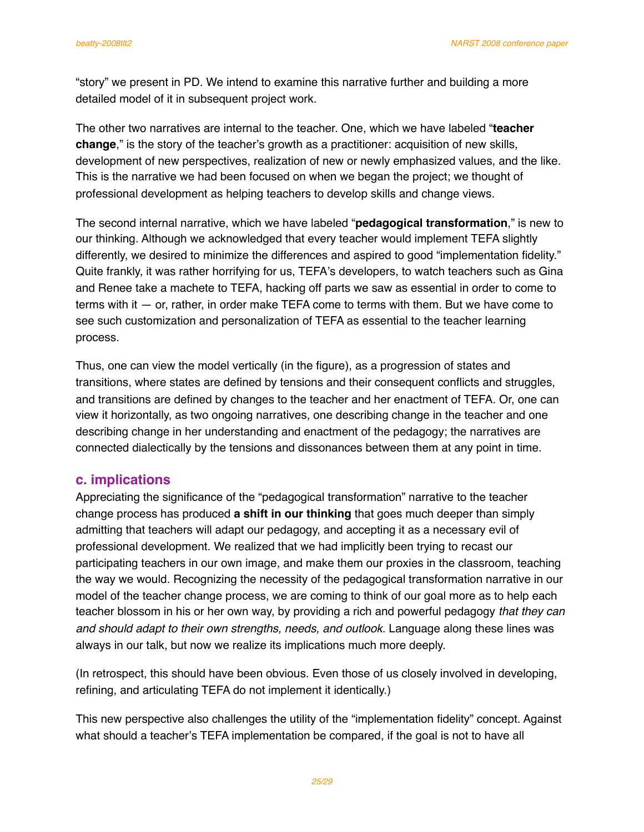"story" we present in PD. We intend to examine this narrative further and building a more detailed model of it in subsequent project work.

The other two narratives are internal to the teacher. One, which we have labeled "**teacher change**," is the story of the teacher's growth as a practitioner: acquisition of new skills, development of new perspectives, realization of new or newly emphasized values, and the like. This is the narrative we had been focused on when we began the project; we thought of professional development as helping teachers to develop skills and change views.

The second internal narrative, which we have labeled "**pedagogical transformation**," is new to our thinking. Although we acknowledged that every teacher would implement TEFA slightly differently, we desired to minimize the differences and aspired to good "implementation fidelity." Quite frankly, it was rather horrifying for us, TEFA's developers, to watch teachers such as Gina and Renee take a machete to TEFA, hacking off parts we saw as essential in order to come to terms with it  $-$  or, rather, in order make TEFA come to terms with them. But we have come to see such customization and personalization of TEFA as essential to the teacher learning process.

Thus, one can view the model vertically (in the figure), as a progression of states and transitions, where states are defined by tensions and their consequent conflicts and struggles, and transitions are defined by changes to the teacher and her enactment of TEFA. Or, one can view it horizontally, as two ongoing narratives, one describing change in the teacher and one describing change in her understanding and enactment of the pedagogy; the narratives are connected dialectically by the tensions and dissonances between them at any point in time.

# **c. implications**

Appreciating the significance of the "pedagogical transformation" narrative to the teacher change process has produced **a shift in our thinking** that goes much deeper than simply admitting that teachers will adapt our pedagogy, and accepting it as a necessary evil of professional development. We realized that we had implicitly been trying to recast our participating teachers in our own image, and make them our proxies in the classroom, teaching the way we would. Recognizing the necessity of the pedagogical transformation narrative in our model of the teacher change process, we are coming to think of our goal more as to help each teacher blossom in his or her own way, by providing a rich and powerful pedagogy *that they can and should adapt to their own strengths, needs, and outlook*. Language along these lines was always in our talk, but now we realize its implications much more deeply.

(In retrospect, this should have been obvious. Even those of us closely involved in developing, refining, and articulating TEFA do not implement it identically.)

This new perspective also challenges the utility of the "implementation fidelity" concept. Against what should a teacher's TEFA implementation be compared, if the goal is not to have all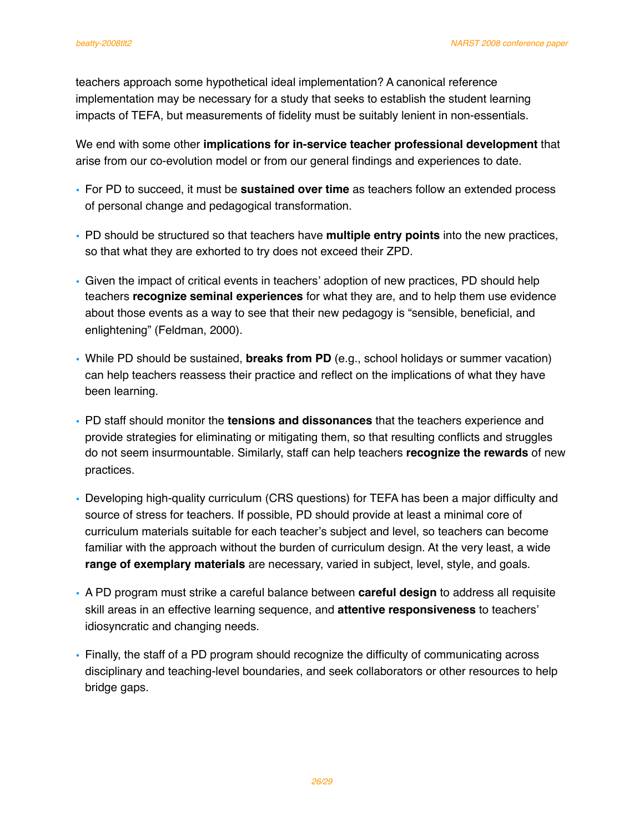teachers approach some hypothetical ideal implementation? A canonical reference implementation may be necessary for a study that seeks to establish the student learning impacts of TEFA, but measurements of fidelity must be suitably lenient in non-essentials.

We end with some other **implications for in-service teacher professional development** that arise from our co-evolution model or from our general findings and experiences to date.

- For PD to succeed, it must be **sustained over time** as teachers follow an extended process of personal change and pedagogical transformation.
- PD should be structured so that teachers have **multiple entry points** into the new practices, so that what they are exhorted to try does not exceed their ZPD.
- Given the impact of critical events in teachers' adoption of new practices, PD should help teachers **recognize seminal experiences** for what they are, and to help them use evidence about those events as a way to see that their new pedagogy is "sensible, beneficial, and enlightening" (Feldman, 2000).
- While PD should be sustained, **breaks from PD** (e.g., school holidays or summer vacation) can help teachers reassess their practice and reflect on the implications of what they have been learning.
- PD staff should monitor the **tensions and dissonances** that the teachers experience and provide strategies for eliminating or mitigating them, so that resulting conflicts and struggles do not seem insurmountable. Similarly, staff can help teachers **recognize the rewards** of new practices.
- Developing high-quality curriculum (CRS questions) for TEFA has been a major difficulty and source of stress for teachers. If possible, PD should provide at least a minimal core of curriculum materials suitable for each teacher's subject and level, so teachers can become familiar with the approach without the burden of curriculum design. At the very least, a wide **range of exemplary materials** are necessary, varied in subject, level, style, and goals.
- A PD program must strike a careful balance between **careful design** to address all requisite skill areas in an effective learning sequence, and **attentive responsiveness** to teachers' idiosyncratic and changing needs.
- Finally, the staff of a PD program should recognize the difficulty of communicating across disciplinary and teaching-level boundaries, and seek collaborators or other resources to help bridge gaps.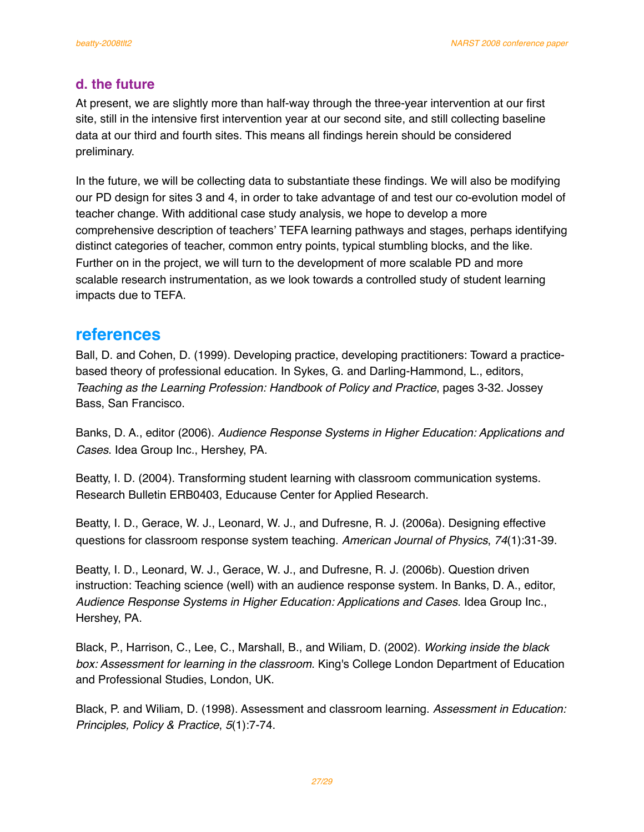# **d. the future**

At present, we are slightly more than half-way through the three-year intervention at our first site, still in the intensive first intervention year at our second site, and still collecting baseline data at our third and fourth sites. This means all findings herein should be considered preliminary.

In the future, we will be collecting data to substantiate these findings. We will also be modifying our PD design for sites 3 and 4, in order to take advantage of and test our co-evolution model of teacher change. With additional case study analysis, we hope to develop a more comprehensive description of teachers' TEFA learning pathways and stages, perhaps identifying distinct categories of teacher, common entry points, typical stumbling blocks, and the like. Further on in the project, we will turn to the development of more scalable PD and more scalable research instrumentation, as we look towards a controlled study of student learning impacts due to TEFA.

# **references**

Ball, D. and Cohen, D. (1999). Developing practice, developing practitioners: Toward a practicebased theory of professional education. In Sykes, G. and Darling-Hammond, L., editors, *Teaching as the Learning Profession: Handbook of Policy and Practice*, pages 3-32. Jossey Bass, San Francisco.

Banks, D. A., editor (2006). *Audience Response Systems in Higher Education: Applications and Cases*. Idea Group Inc., Hershey, PA.

Beatty, I. D. (2004). Transforming student learning with classroom communication systems. Research Bulletin ERB0403, Educause Center for Applied Research.

Beatty, I. D., Gerace, W. J., Leonard, W. J., and Dufresne, R. J. (2006a). Designing effective questions for classroom response system teaching. *American Journal of Physics*, *74*(1):31-39.

Beatty, I. D., Leonard, W. J., Gerace, W. J., and Dufresne, R. J. (2006b). Question driven instruction: Teaching science (well) with an audience response system. In Banks, D. A., editor, *Audience Response Systems in Higher Education: Applications and Cases*. Idea Group Inc., Hershey, PA.

Black, P., Harrison, C., Lee, C., Marshall, B., and Wiliam, D. (2002). *Working inside the black box: Assessment for learning in the classroom*. King's College London Department of Education and Professional Studies, London, UK.

Black, P. and Wiliam, D. (1998). Assessment and classroom learning. *Assessment in Education: Principles, Policy & Practice*, *5*(1):7-74.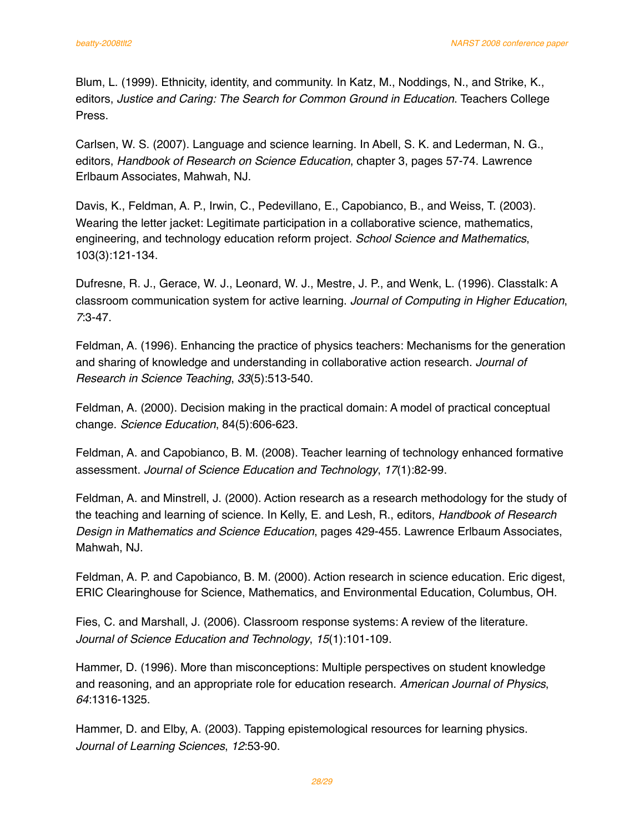Blum, L. (1999). Ethnicity, identity, and community. In Katz, M., Noddings, N., and Strike, K., editors, *Justice and Caring: The Search for Common Ground in Education*. Teachers College Press.

Carlsen, W. S. (2007). Language and science learning. In Abell, S. K. and Lederman, N. G., editors, *Handbook of Research on Science Education*, chapter 3, pages 57-74. Lawrence Erlbaum Associates, Mahwah, NJ.

Davis, K., Feldman, A. P., Irwin, C., Pedevillano, E., Capobianco, B., and Weiss, T. (2003). Wearing the letter jacket: Legitimate participation in a collaborative science, mathematics, engineering, and technology education reform project. *School Science and Mathematics*, 103(3):121-134.

Dufresne, R. J., Gerace, W. J., Leonard, W. J., Mestre, J. P., and Wenk, L. (1996). Classtalk: A classroom communication system for active learning. *Journal of Computing in Higher Education*, *7*:3-47.

Feldman, A. (1996). Enhancing the practice of physics teachers: Mechanisms for the generation and sharing of knowledge and understanding in collaborative action research. *Journal of Research in Science Teaching*, *33*(5):513-540.

Feldman, A. (2000). Decision making in the practical domain: A model of practical conceptual change. *Science Education*, 84(5):606-623.

Feldman, A. and Capobianco, B. M. (2008). Teacher learning of technology enhanced formative assessment. *Journal of Science Education and Technology*, *17*(1):82-99.

Feldman, A. and Minstrell, J. (2000). Action research as a research methodology for the study of the teaching and learning of science. In Kelly, E. and Lesh, R., editors, *Handbook of Research Design in Mathematics and Science Education*, pages 429-455. Lawrence Erlbaum Associates, Mahwah, NJ.

Feldman, A. P. and Capobianco, B. M. (2000). Action research in science education. Eric digest, ERIC Clearinghouse for Science, Mathematics, and Environmental Education, Columbus, OH.

Fies, C. and Marshall, J. (2006). Classroom response systems: A review of the literature. *Journal of Science Education and Technology*, *15*(1):101-109.

Hammer, D. (1996). More than misconceptions: Multiple perspectives on student knowledge and reasoning, and an appropriate role for education research. *American Journal of Physics*, *64*:1316-1325.

Hammer, D. and Elby, A. (2003). Tapping epistemological resources for learning physics. *Journal of Learning Sciences*, *12*:53-90.